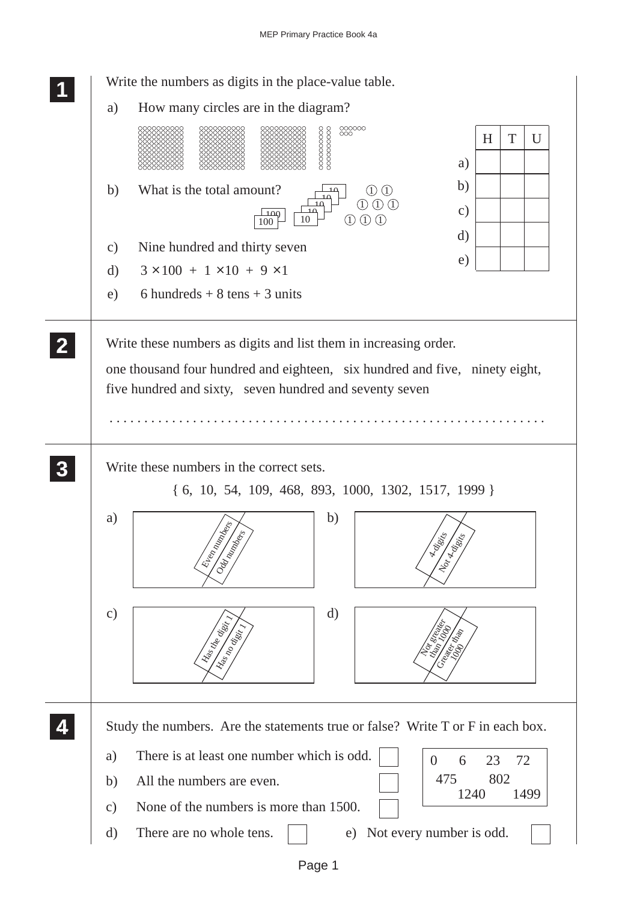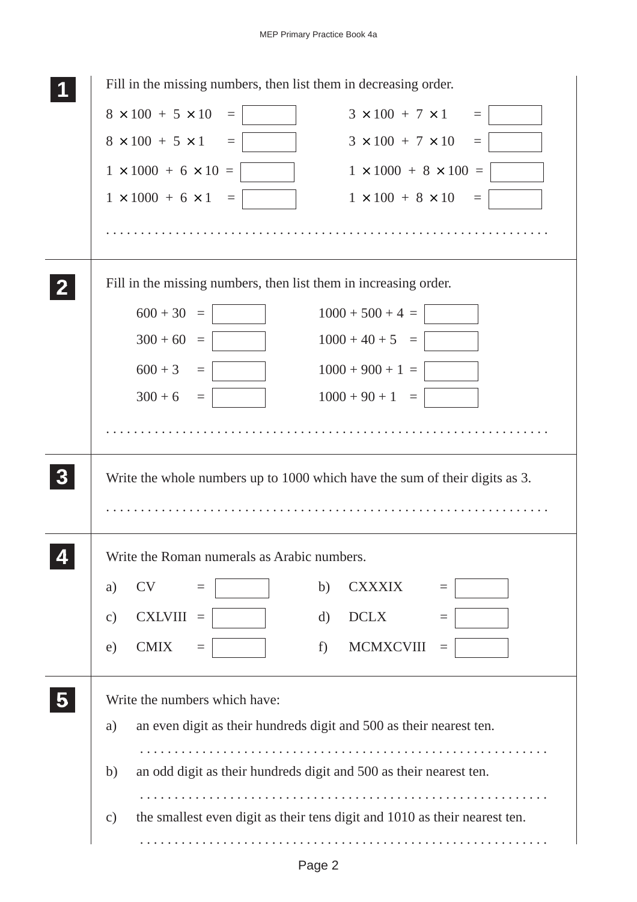| Fill in the missing numbers, then list them in decreasing order. |                                                                             |
|------------------------------------------------------------------|-----------------------------------------------------------------------------|
| $8 \times 100 + 5 \times 10$<br>$\equiv$                         | $3 \times 100 + 7 \times 1$<br>$\equiv$                                     |
| $8 \times 100 + 5 \times 1 =$                                    | $3 \times 100 + 7 \times 10$<br>$\equiv$                                    |
| $1 \times 1000 + 6 \times 10 =$                                  | $1 \times 1000 + 8 \times 100 =$                                            |
| $1 \times 1000 + 6 \times 1 =$                                   | $1 \times 100 + 8 \times 10$<br>$\equiv$                                    |
|                                                                  |                                                                             |
| Fill in the missing numbers, then list them in increasing order. |                                                                             |
| $600 + 30 =$                                                     | $1000 + 500 + 4 =$                                                          |
| $300 + 60 =$                                                     | $1000 + 40 + 5 =$                                                           |
| $600 + 3 =$                                                      | $1000 + 900 + 1 =$                                                          |
| $300 + 6 =$                                                      | $1000 + 90 + 1 =$                                                           |
|                                                                  |                                                                             |
|                                                                  | Write the whole numbers up to 1000 which have the sum of their digits as 3. |
|                                                                  |                                                                             |
|                                                                  |                                                                             |
| Write the Roman numerals as Arabic numbers.                      |                                                                             |
| <b>CV</b><br>a)<br>$\equiv$                                      | b)<br><b>CXXXIX</b><br>$=$                                                  |
| <b>CXLVIII</b><br>$\mathbf{c})$<br>$\equiv$                      | <b>DCLX</b><br>d)<br>$\equiv$                                               |
| <b>CMIX</b><br>e)<br>$\equiv$                                    | f)<br><b>MCMXCVIII</b><br>$\equiv$                                          |
| Write the numbers which have:                                    |                                                                             |
| a)                                                               | an even digit as their hundreds digit and 500 as their nearest ten.         |
|                                                                  |                                                                             |
| b)                                                               | an odd digit as their hundreds digit and 500 as their nearest ten.          |
| $\mathbf{c})$                                                    | the smallest even digit as their tens digit and 1010 as their nearest ten.  |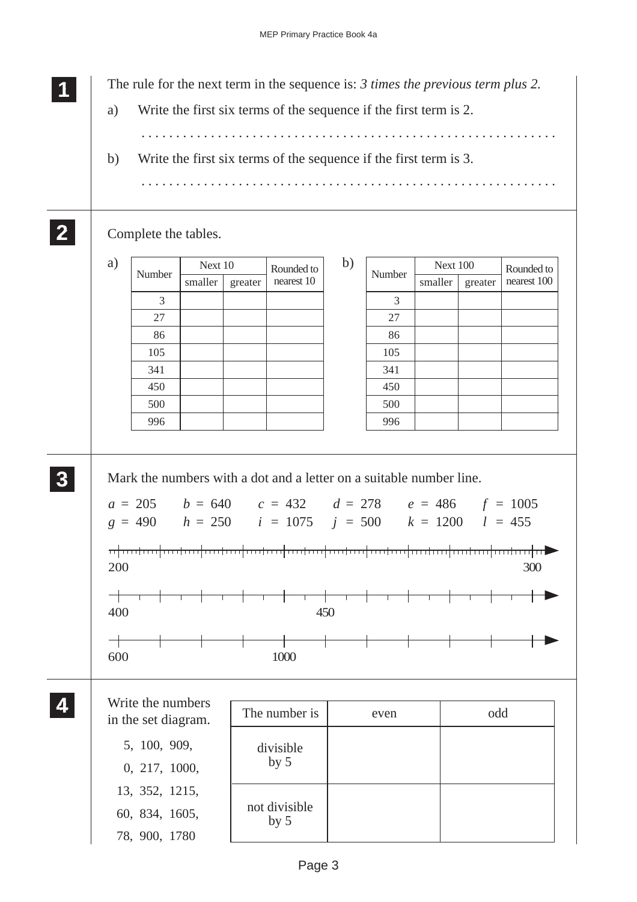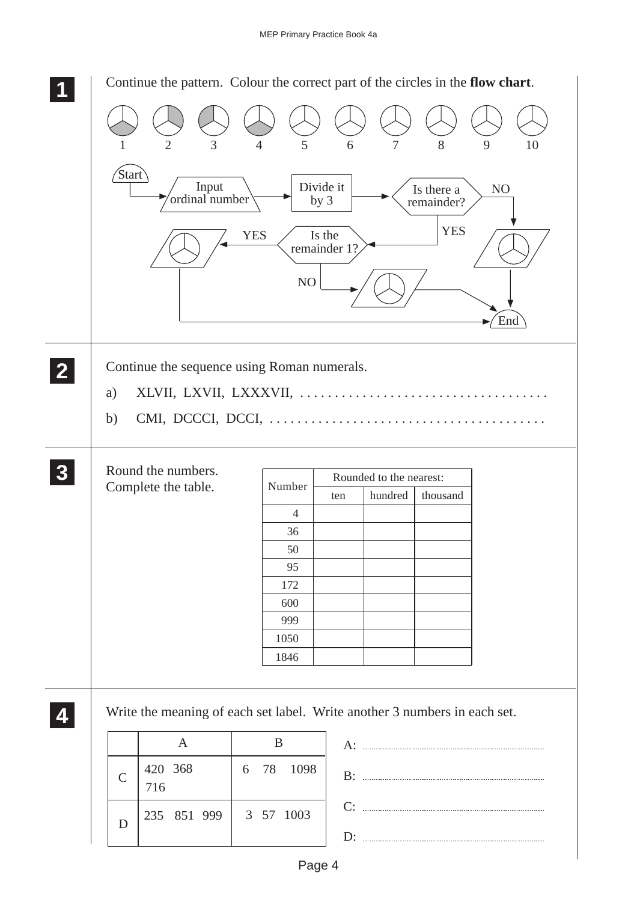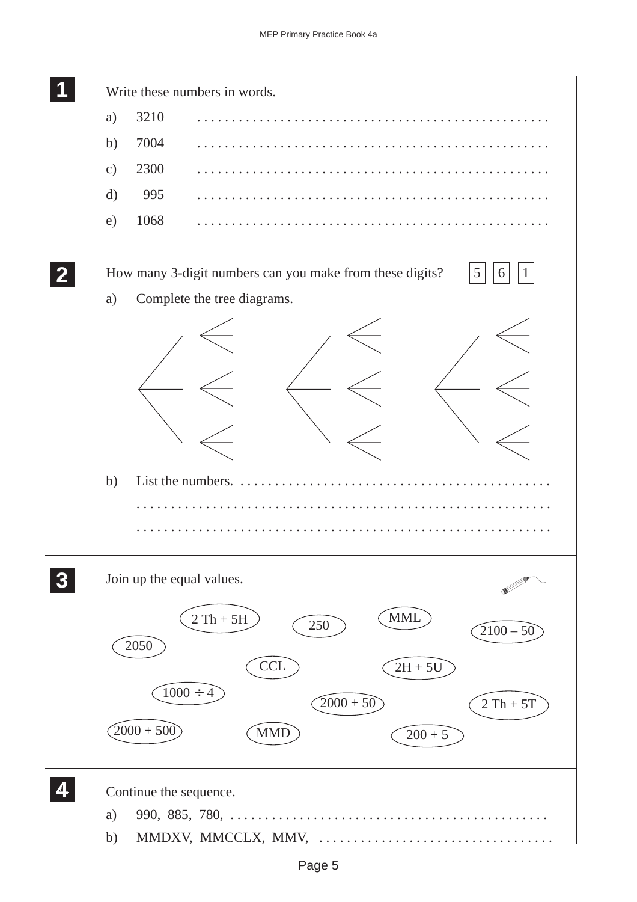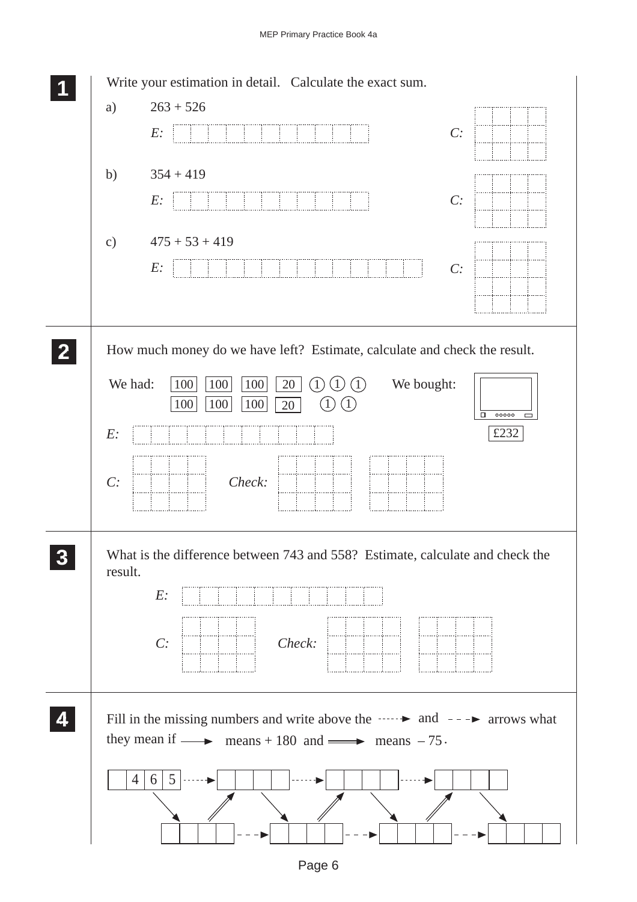## MEP Primary Practice Book 4a

|    | Write your estimation in detail. Calculate the exact sum.<br>$263 + 526$<br>a)                                                                                                                                                                                            |
|----|---------------------------------------------------------------------------------------------------------------------------------------------------------------------------------------------------------------------------------------------------------------------------|
|    | C:<br>E:                                                                                                                                                                                                                                                                  |
|    | b)<br>$354 + 419$<br>C:<br>E:                                                                                                                                                                                                                                             |
|    | $475 + 53 + 419$<br>$\mathbf{c})$<br>E:<br>C:                                                                                                                                                                                                                             |
|    | How much money do we have left? Estimate, calculate and check the result.<br>We had:<br>We bought:<br>20<br>100<br>100<br>100<br>$\left(1\right)$<br>$\perp$<br>(1)<br>100<br>100<br>100<br>20<br>$\mathbf{1}$<br>$\Box$<br>00000<br>$\Box$<br>£232<br>E:<br>C:<br>Check: |
| 3  | What is the difference between 743 and 558? Estimate, calculate and check the<br>result.<br>$E$ :<br>Check:<br>C:                                                                                                                                                         |
| Z. | Fill in the missing numbers and write above the $\cdots$ $\rightarrow$ and $\rightarrow$ $\rightarrow$ arrows what<br>they mean if $\longrightarrow$ means + 180 and $\longrightarrow$ means - 75.<br>5<br>$\overline{4}$<br>6                                            |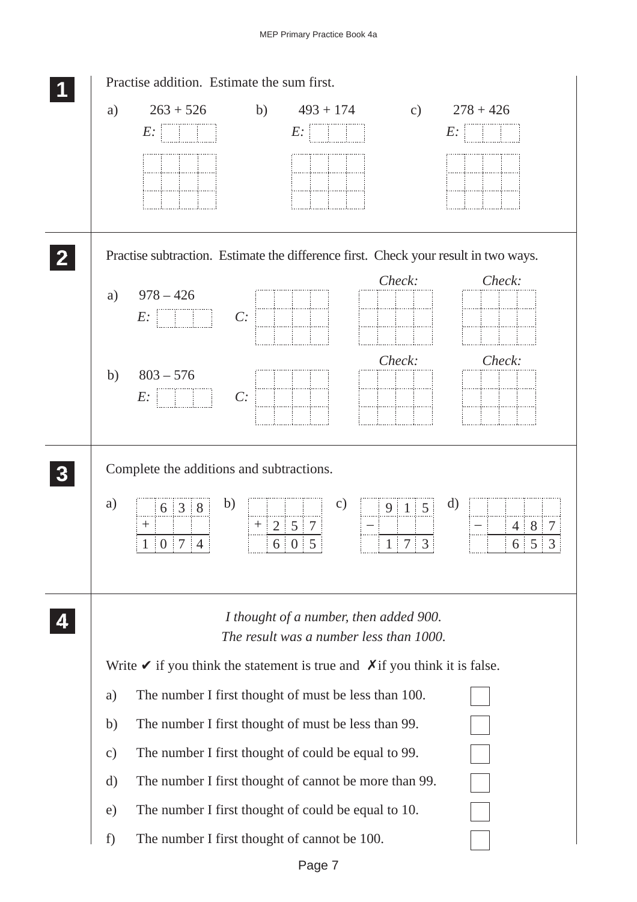![](_page_6_Figure_1.jpeg)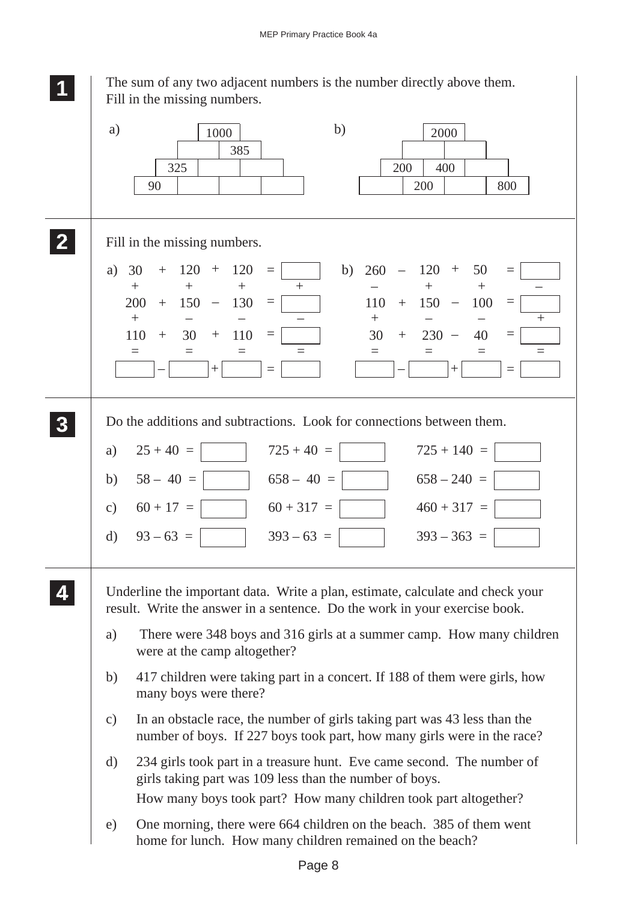|                  | The sum of any two adjacent numbers is the number directly above them.<br>Fill in the missing numbers.                                                                                                                                                                                                                                                                                                                                                                                                                                                              |
|------------------|---------------------------------------------------------------------------------------------------------------------------------------------------------------------------------------------------------------------------------------------------------------------------------------------------------------------------------------------------------------------------------------------------------------------------------------------------------------------------------------------------------------------------------------------------------------------|
|                  | b)<br>a)<br>1000<br>2000<br>385<br>325<br>200<br>400<br>90<br>200<br>800                                                                                                                                                                                                                                                                                                                                                                                                                                                                                            |
| $\mathbf{Z}$     | Fill in the missing numbers.                                                                                                                                                                                                                                                                                                                                                                                                                                                                                                                                        |
|                  | $120 +$<br>120<br>$120 +$<br>50<br>b)<br>a)<br>30<br>260<br>$+$<br>$=$<br>$\overline{\phantom{0}}$<br>$\boldsymbol{+}$<br>$+$<br>$+$<br>$\! + \!$<br>$+$<br>150<br>200<br>130<br>110<br>150<br>100<br>$+$<br>$\overline{\phantom{0}}$<br>$\equiv$<br>$+$<br>$\overline{\phantom{m}}$<br>$=$<br>$+$<br>$\boldsymbol{+}$<br>$^{+}$<br>$\equiv$<br>110<br>30<br>110<br>30<br>$230 -$<br>40<br>$\boldsymbol{+}$<br>$=$<br>$\equiv$<br>$\boldsymbol{+}$<br>$+$<br>$=$<br>$=$<br>$=$<br>$=$<br>$=$<br>$=$<br>$=$<br>$=$<br>$+$<br>$\equiv$<br>$^{+}$<br>$\!\!\!=\!\!\!\!$ |
| $\boldsymbol{3}$ | Do the additions and subtractions. Look for connections between them.<br>$725 + 40 =$<br>$725 + 140 =$<br>$25 + 40 =$<br>a)<br>$58 - 40 =$<br>$658 - 40 =$<br>$658 - 240 =$<br>b)<br>$60 + 317 =$<br>$60 + 17 =$<br>$460 + 317 =$<br>$\mathbf{c})$<br>$93 - 63 =$<br>$\mathbf{d}$<br>$393 - 63 =$<br>$393 - 363 =$                                                                                                                                                                                                                                                  |
|                  | Underline the important data. Write a plan, estimate, calculate and check your<br>result. Write the answer in a sentence. Do the work in your exercise book.                                                                                                                                                                                                                                                                                                                                                                                                        |
|                  | There were 348 boys and 316 girls at a summer camp. How many children<br>a)<br>were at the camp altogether?                                                                                                                                                                                                                                                                                                                                                                                                                                                         |
|                  | 417 children were taking part in a concert. If 188 of them were girls, how<br>b)<br>many boys were there?                                                                                                                                                                                                                                                                                                                                                                                                                                                           |
|                  | In an obstacle race, the number of girls taking part was 43 less than the<br>$\mathbf{c})$<br>number of boys. If 227 boys took part, how many girls were in the race?                                                                                                                                                                                                                                                                                                                                                                                               |
|                  | 234 girls took part in a treasure hunt. Eve came second. The number of<br>d)<br>girls taking part was 109 less than the number of boys.<br>How many boys took part? How many children took part altogether?                                                                                                                                                                                                                                                                                                                                                         |
|                  | One morning, there were 664 children on the beach. 385 of them went<br>e)<br>home for lunch. How many children remained on the beach?                                                                                                                                                                                                                                                                                                                                                                                                                               |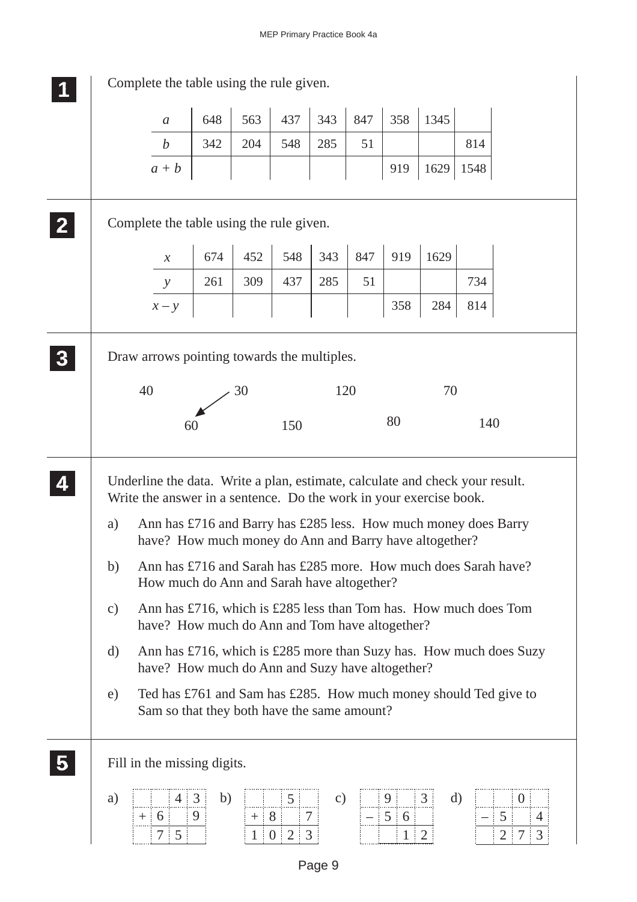|               | Complete the table using the rule given.                                                                                                                                                                                                                                        |              |       |                                              |               |     |                                               |                     |          |                                                      |
|---------------|---------------------------------------------------------------------------------------------------------------------------------------------------------------------------------------------------------------------------------------------------------------------------------|--------------|-------|----------------------------------------------|---------------|-----|-----------------------------------------------|---------------------|----------|------------------------------------------------------|
|               | $\boldsymbol{a}$                                                                                                                                                                                                                                                                | 648          | 563   | 437                                          | 343           | 847 | 358                                           | 1345                |          |                                                      |
|               | $\boldsymbol{b}$                                                                                                                                                                                                                                                                | 342          | 204   | 548                                          | 285           | 51  |                                               |                     | 814      |                                                      |
|               | $a + b$                                                                                                                                                                                                                                                                         |              |       |                                              |               |     | 919                                           | 1629                | 1548     |                                                      |
|               | Complete the table using the rule given.                                                                                                                                                                                                                                        |              |       |                                              |               |     |                                               |                     |          |                                                      |
|               | $\boldsymbol{\mathcal{X}}$                                                                                                                                                                                                                                                      | 674          | 452   | 548                                          | 343           | 847 | 919                                           | 1629                |          |                                                      |
|               | $\mathcal{Y}$                                                                                                                                                                                                                                                                   | 261          | 309   | 437                                          | 285           | 51  |                                               |                     | 734      |                                                      |
|               | $x - y$                                                                                                                                                                                                                                                                         |              |       |                                              |               |     | 358                                           | 284                 | 814      |                                                      |
|               | Draw arrows pointing towards the multiples.                                                                                                                                                                                                                                     |              |       |                                              |               |     |                                               |                     |          |                                                      |
|               | 40                                                                                                                                                                                                                                                                              |              | 30    |                                              | 120           |     |                                               | 70                  |          |                                                      |
|               |                                                                                                                                                                                                                                                                                 | 60           |       | 150                                          |               |     | 80                                            |                     | 140      |                                                      |
| a)            | Underline the data. Write a plan, estimate, calculate and check your result.<br>Write the answer in a sentence. Do the work in your exercise book.<br>Ann has £716 and Barry has £285 less. How much money does Barry<br>have? How much money do Ann and Barry have altogether? |              |       |                                              |               |     |                                               |                     |          |                                                      |
| b)            | Ann has £716 and Sarah has £285 more. How much does Sarah have?<br>How much do Ann and Sarah have altogether?                                                                                                                                                                   |              |       |                                              |               |     |                                               |                     |          |                                                      |
| $\mathbf{c})$ | Ann has £716, which is £285 less than Tom has. How much does Tom<br>have? How much do Ann and Tom have altogether?                                                                                                                                                              |              |       |                                              |               |     |                                               |                     |          |                                                      |
| d)            | Ann has £716, which is £285 more than Suzy has. How much does Suzy<br>have? How much do Ann and Suzy have altogether?                                                                                                                                                           |              |       |                                              |               |     |                                               |                     |          |                                                      |
| e)            | Ted has £761 and Sam has £285. How much money should Ted give to<br>Sam so that they both have the same amount?                                                                                                                                                                 |              |       |                                              |               |     |                                               |                     |          |                                                      |
|               | Fill in the missing digits.                                                                                                                                                                                                                                                     |              |       |                                              |               |     |                                               |                     |          |                                                      |
| a)            | 4<br>$6 \overline{6}$<br>$+$<br>5<br>7                                                                                                                                                                                                                                          | b)<br>3<br>9 | $+$ 8 | 5<br>7<br>$2 \overline{3}$<br>$\overline{0}$ | $\mathbf{c})$ |     | 9 <sup>1</sup><br>$5 \quad 6$<br>$\mathbf{1}$ | 3<br>$\overline{2}$ | $\rm d)$ | $\overline{0}$<br>5<br>4<br>3<br>$\overline{2}$<br>7 |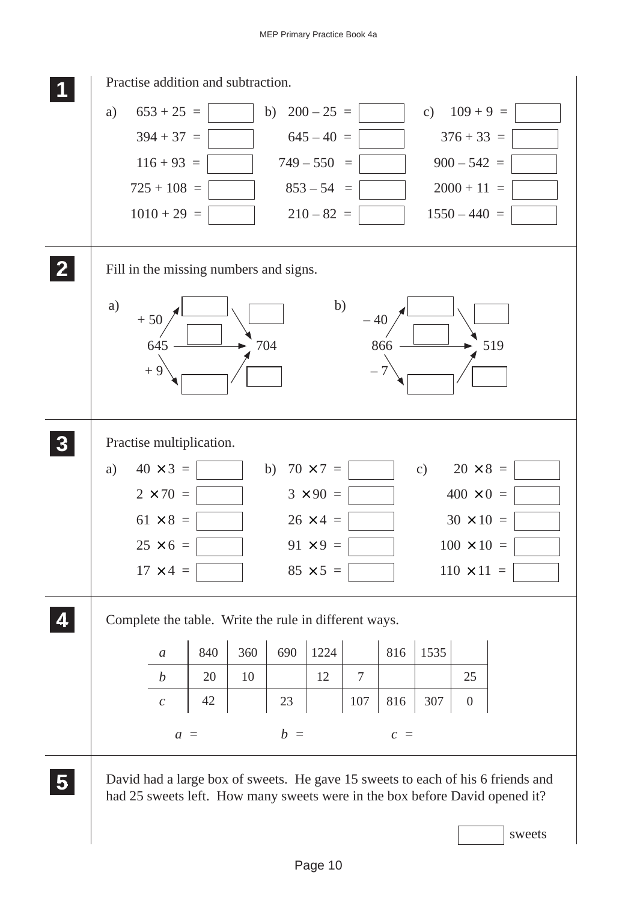![](_page_9_Figure_1.jpeg)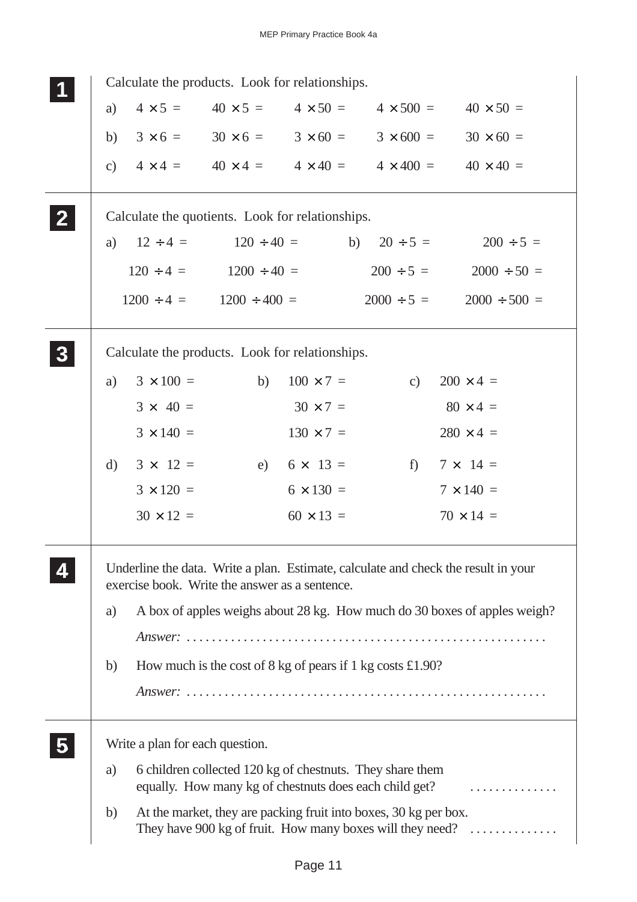|          | Calculate the products. Look for relationships.  |                                            |                    |                                                                                                                     |                                                                                    |
|----------|--------------------------------------------------|--------------------------------------------|--------------------|---------------------------------------------------------------------------------------------------------------------|------------------------------------------------------------------------------------|
| a)       |                                                  | $4 \times 5 = 40 \times 5 =$               | $4 \times 50 =$    | $4 \times 500 =$                                                                                                    | $40 \times 50 =$                                                                   |
| b)       |                                                  | $3 \times 6 = 30 \times 6 = 3 \times 60 =$ |                    |                                                                                                                     | $3 \times 600 = 30 \times 60 =$                                                    |
|          |                                                  |                                            |                    |                                                                                                                     | c) $4 \times 4 = 40 \times 4 = 4 \times 40 = 4 \times 400 = 40 \times 40 = 40$     |
|          | Calculate the quotients. Look for relationships. |                                            |                    |                                                                                                                     |                                                                                    |
|          | a) $12 \div 4 = 120 \div 40 =$                   |                                            |                    |                                                                                                                     | b) $20 \div 5 = 200 \div 5 =$                                                      |
|          | $120 \div 4 = 1200 \div 40 =$                    |                                            |                    |                                                                                                                     | $200 \div 5 = 2000 \div 50 =$                                                      |
|          | $1200 \div 4 = 1200 \div 400 =$                  |                                            |                    | $2000 \div 5 =$                                                                                                     | $2000 \div 500 =$                                                                  |
|          | Calculate the products. Look for relationships.  |                                            |                    |                                                                                                                     |                                                                                    |
| a)       | $3 \times 100 =$                                 | b)                                         | $100 \times 7 =$   | c)                                                                                                                  | $200 \times 4 =$                                                                   |
|          | $3 \times 40 =$                                  |                                            | $30 \times 7 =$    |                                                                                                                     | $80 \times 4 =$                                                                    |
|          | $3 \times 140 =$                                 |                                            | $130 \times 7 =$   |                                                                                                                     | $280 \times 4 =$                                                                   |
| $\rm d)$ | $3 \times 12 =$                                  |                                            | e) $6 \times 13 =$ | $f$ )                                                                                                               | $7 \times 14 =$                                                                    |
|          | $3 \times 120 =$                                 |                                            | $6 \times 130 =$   |                                                                                                                     | $7 \times 140 =$                                                                   |
|          | $30 \times 12 =$                                 |                                            | $60 \times 13 =$   |                                                                                                                     | $70 \times 14 =$                                                                   |
|          | exercise book. Write the answer as a sentence.   |                                            |                    |                                                                                                                     | Underline the data. Write a plan. Estimate, calculate and check the result in your |
| a)       |                                                  |                                            |                    |                                                                                                                     | A box of apples weighs about 28 kg. How much do 30 boxes of apples weigh?          |
|          |                                                  |                                            |                    |                                                                                                                     |                                                                                    |
| b)       |                                                  |                                            |                    | How much is the cost of 8 kg of pears if 1 kg costs £1.90?                                                          |                                                                                    |
|          |                                                  |                                            |                    |                                                                                                                     |                                                                                    |
|          |                                                  |                                            |                    |                                                                                                                     |                                                                                    |
|          | Write a plan for each question.                  |                                            |                    |                                                                                                                     |                                                                                    |
| a)       |                                                  |                                            |                    | 6 children collected 120 kg of chestnuts. They share them<br>equally. How many kg of chestnuts does each child get? | .                                                                                  |
| b)       |                                                  |                                            |                    | At the market, they are packing fruit into boxes, 30 kg per box.                                                    | They have 900 kg of fruit. How many boxes will they need?                          |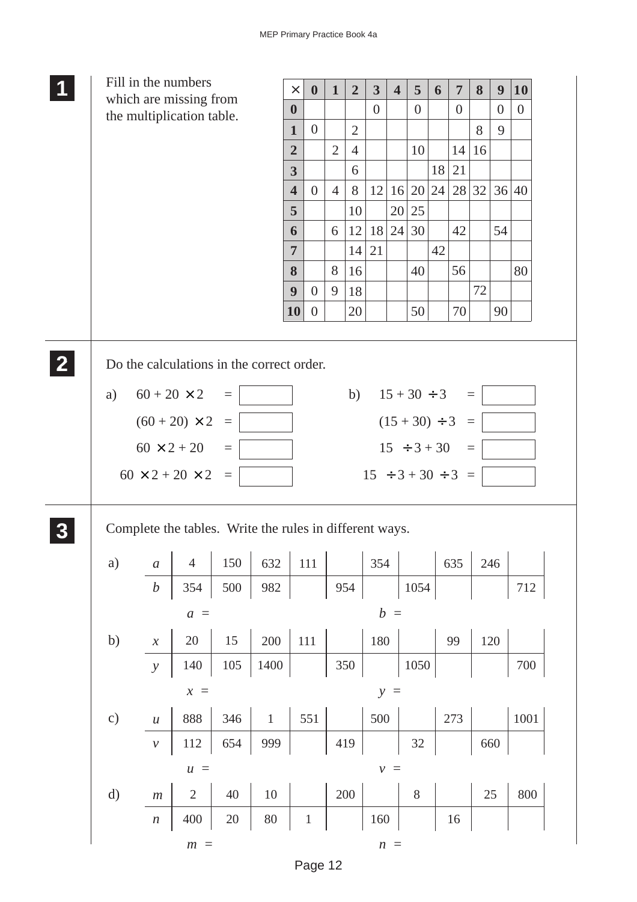|              |                            | Fill in the numbers                                     |          |              | $\times$                | $\boldsymbol{0}$ | $\mathbf{1}$   | $\overline{2}$ | $\mathbf{3}$              | $\overline{\mathbf{4}}$ | 5                | 6                | $\overline{7}$       | 8        | $\boldsymbol{9}$ | 10       |
|--------------|----------------------------|---------------------------------------------------------|----------|--------------|-------------------------|------------------|----------------|----------------|---------------------------|-------------------------|------------------|------------------|----------------------|----------|------------------|----------|
|              |                            | which are missing from                                  |          |              | $\boldsymbol{0}$        |                  |                |                | $\boldsymbol{0}$          |                         | $\overline{0}$   |                  | $\boldsymbol{0}$     |          | $\overline{0}$   | $\theta$ |
|              |                            | the multiplication table.                               |          |              | $\mathbf{1}$            | $\boldsymbol{0}$ |                | $\overline{2}$ |                           |                         |                  |                  |                      | 8        | 9                |          |
|              |                            |                                                         |          |              | $\overline{2}$          |                  | $\overline{2}$ | $\overline{4}$ |                           |                         | 10               |                  | 14                   | 16       |                  |          |
|              |                            |                                                         |          |              | $\overline{\mathbf{3}}$ |                  |                | 6              |                           |                         |                  | 18               | 21                   |          |                  |          |
|              |                            |                                                         |          |              | $\overline{\mathbf{4}}$ | $\overline{0}$   | $\overline{4}$ | 8              | 12                        | 16                      | 20               | $\vert 24 \vert$ | 28 32                |          |                  | 36 40    |
|              |                            |                                                         |          |              | 5                       |                  |                | 10             |                           | 20                      | 25               |                  |                      |          |                  |          |
|              |                            |                                                         |          |              | 6<br>$\overline{7}$     |                  | 6              | 12<br>14       | <b>18</b><br>21           | 24                      | 30               | 42               | 42                   |          | 54               |          |
|              |                            |                                                         |          |              | 8                       |                  | 8              | 16             |                           |                         | 40               |                  | 56                   |          |                  | 80       |
|              |                            |                                                         |          |              | 9                       | $\overline{0}$   | 9              | 18             |                           |                         |                  |                  |                      | 72       |                  |          |
|              |                            |                                                         |          |              | 10                      | $\overline{0}$   |                | 20             |                           |                         | 50               |                  | 70                   |          | 90               |          |
|              |                            |                                                         |          |              |                         |                  |                |                |                           |                         |                  |                  |                      |          |                  |          |
|              |                            | Do the calculations in the correct order.               |          |              |                         |                  |                |                |                           |                         |                  |                  |                      |          |                  |          |
| a)           | $60 + 20 \times 2$         |                                                         | $\equiv$ |              |                         |                  |                |                | b) $15 + 30 \div 3$       |                         |                  |                  |                      | $\equiv$ |                  |          |
|              |                            |                                                         |          |              |                         |                  |                |                |                           |                         |                  |                  |                      |          |                  |          |
|              |                            | $(60 + 20) \times 2$                                    | $\equiv$ |              |                         |                  |                |                |                           |                         |                  |                  | $(15 + 30) \div 3 =$ |          |                  |          |
|              |                            | $60 \times 2 + 20$                                      | $\equiv$ |              |                         |                  |                |                |                           |                         | $15 \div 3 + 30$ |                  |                      | $\equiv$ |                  |          |
|              |                            | $60 \times 2 + 20 \times 2$                             | $\equiv$ |              |                         |                  |                |                | $15 \div 3 + 30 \div 3 =$ |                         |                  |                  |                      |          |                  |          |
|              |                            |                                                         |          |              |                         |                  |                |                |                           |                         |                  |                  |                      |          |                  |          |
|              |                            | Complete the tables. Write the rules in different ways. |          |              |                         |                  |                |                |                           |                         |                  |                  |                      |          |                  |          |
| a)           | $\boldsymbol{a}$           | $\overline{4}$                                          | 150      | 632          |                         | $111\,$          |                |                | 354                       |                         |                  |                  | 635                  |          |                  |          |
|              | $\boldsymbol{b}$           | 354                                                     | 500      |              |                         |                  |                |                |                           |                         |                  |                  |                      |          | 246              |          |
|              |                            |                                                         |          | 982          |                         |                  | 954            |                |                           |                         | 1054             |                  |                      |          |                  | 712      |
|              |                            | $a =$                                                   |          |              |                         |                  |                |                |                           | $b =$                   |                  |                  |                      |          |                  |          |
|              |                            | 20                                                      |          |              |                         |                  |                |                |                           |                         |                  |                  | 99                   |          |                  |          |
| b)           | $\boldsymbol{\mathcal{X}}$ |                                                         | 15       | $200\,$      | $111\,$                 |                  |                |                | 180                       |                         |                  |                  |                      |          | 120              |          |
|              | $\mathcal{Y}$              | 140                                                     | $105\,$  | 1400         |                         |                  | 350            |                |                           |                         | 1050             |                  |                      |          |                  | 700      |
|              |                            | $x =$                                                   |          |              |                         |                  |                |                |                           | $y =$                   |                  |                  |                      |          |                  |          |
| c)           | $\boldsymbol{\mathcal{U}}$ | 888                                                     | 346      | $\mathbf{1}$ |                         | 551              |                |                | 500                       |                         |                  |                  | 273                  |          |                  | 1001     |
|              | $\mathcal V$               | $112\,$                                                 | 654      | 999          |                         |                  | 419            |                |                           |                         | $32\,$           |                  |                      |          | 660              |          |
|              |                            | $u =$                                                   |          |              |                         |                  |                |                |                           | $\nu =$                 |                  |                  |                      |          |                  |          |
| $\mathbf{d}$ | $\ensuremath{m}$           | $\overline{2}$                                          | $40\,$   | $10\,$       |                         |                  | $200\,$        |                |                           |                         | $8\,$            |                  |                      |          | $25\,$           | 800      |
|              | $\boldsymbol{n}$           | 400                                                     | 20       | $80\,$       | $\mathbf 1$             |                  |                |                | 160                       |                         |                  |                  | 16                   |          |                  |          |

Page 12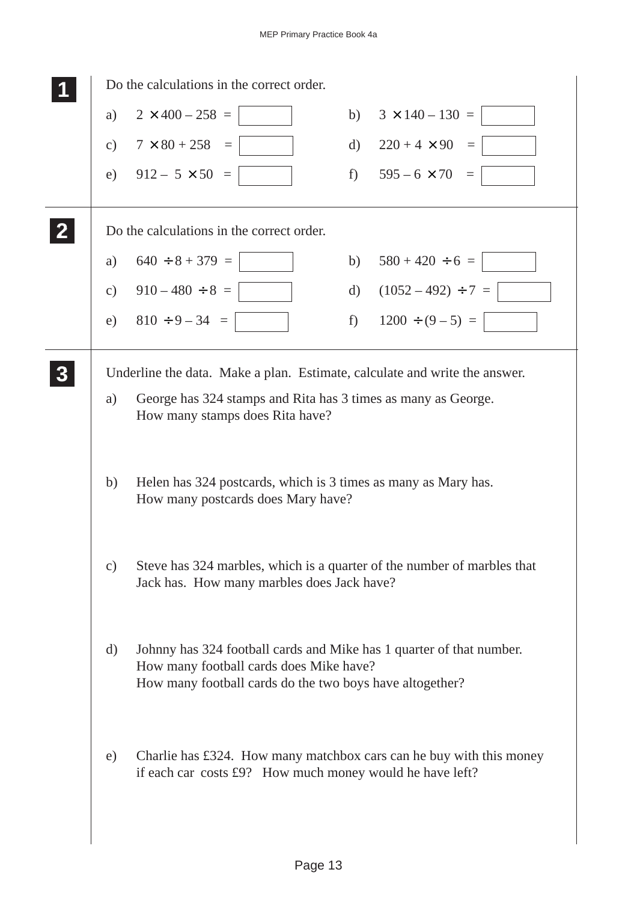|              | Do the calculations in the correct order.                                                                                                                                   |          |                          |
|--------------|-----------------------------------------------------------------------------------------------------------------------------------------------------------------------------|----------|--------------------------|
| a)           | $2 \times 400 - 258 =$                                                                                                                                                      | b)       | $3 \times 140 - 130 =$   |
| c)           | $7 \times 80 + 258 =$                                                                                                                                                       |          | d) $220 + 4 \times 90 =$ |
| e)           | $912 - 5 \times 50 =$                                                                                                                                                       |          | f) $595-6 \times 70 =$   |
|              | Do the calculations in the correct order.                                                                                                                                   |          |                          |
| a)           | $640 \div 8 + 379 =$                                                                                                                                                        |          | b) $580 + 420 \div 6 =$  |
|              | c) $910-480 \div 8 =$                                                                                                                                                       | $\rm d)$ | $(1052 - 492) \div 7 =$  |
| e)           | $810 \div 9 - 34 =$                                                                                                                                                         | $f$ )    | $1200 \div (9-5) =$      |
|              | Underline the data. Make a plan. Estimate, calculate and write the answer.                                                                                                  |          |                          |
| a)           | George has 324 stamps and Rita has 3 times as many as George.<br>How many stamps does Rita have?                                                                            |          |                          |
| b)           | Helen has 324 postcards, which is 3 times as many as Mary has.<br>How many postcards does Mary have?                                                                        |          |                          |
| c)           | Steve has 324 marbles, which is a quarter of the number of marbles that<br>Jack has. How many marbles does Jack have?                                                       |          |                          |
| $\mathbf{d}$ | Johnny has 324 football cards and Mike has 1 quarter of that number.<br>How many football cards does Mike have?<br>How many football cards do the two boys have altogether? |          |                          |
| e)           | Charlie has £324. How many matchbox cars can he buy with this money<br>if each car costs £9? How much money would he have left?                                             |          |                          |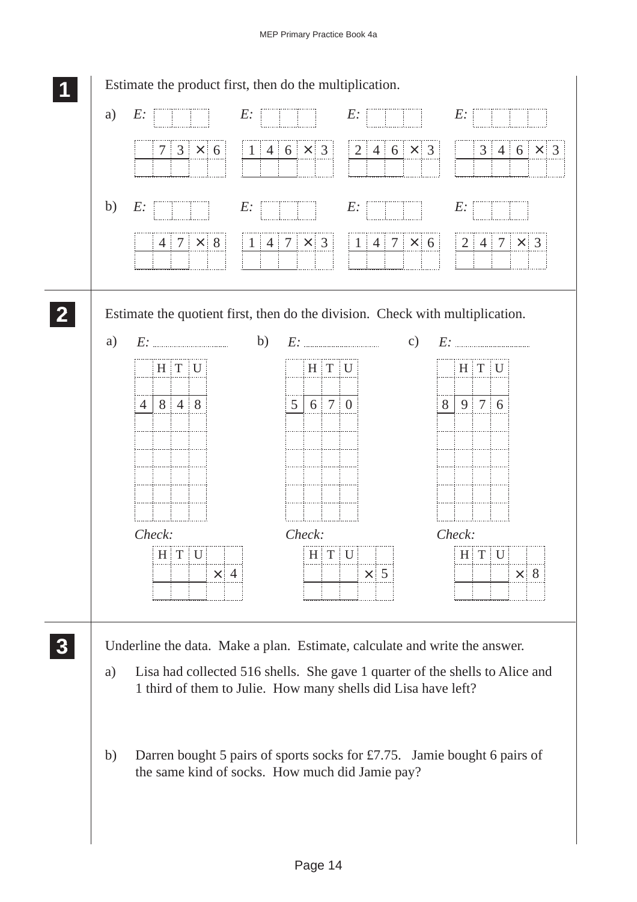![](_page_13_Figure_1.jpeg)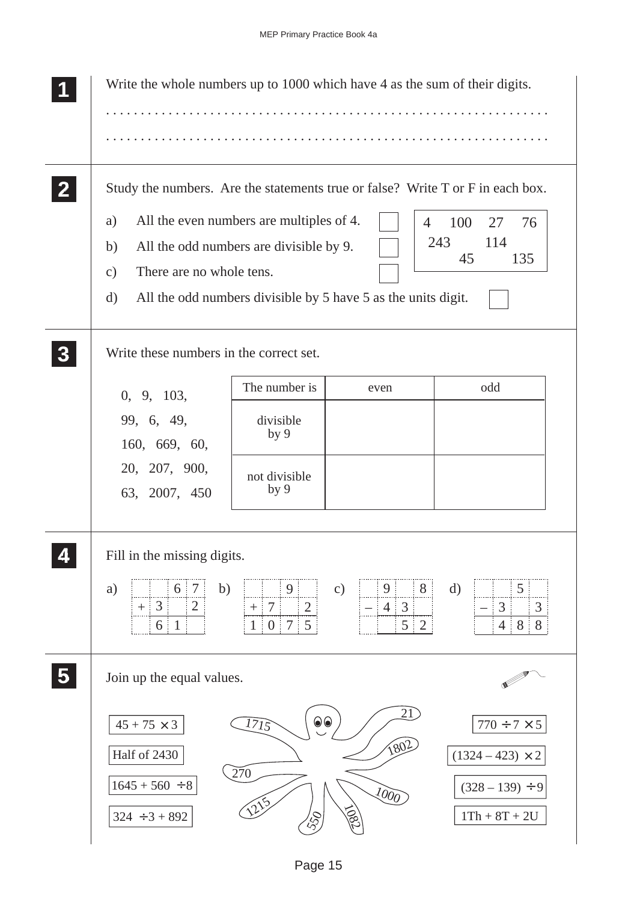| Write the whole numbers up to 1000 which have 4 as the sum of their digits.                                                                                                                                                                    |                                                                                         |                                                                                                     |                                                                                             |
|------------------------------------------------------------------------------------------------------------------------------------------------------------------------------------------------------------------------------------------------|-----------------------------------------------------------------------------------------|-----------------------------------------------------------------------------------------------------|---------------------------------------------------------------------------------------------|
| Study the numbers. Are the statements true or false? Write T or F in each box.<br>All the even numbers are multiples of 4.<br>a)<br>All the odd numbers are divisible by 9.<br>b)<br>There are no whole tens.<br>$\mathbf{c})$<br>$\mathbf{d}$ |                                                                                         | $\overline{4}$<br>All the odd numbers divisible by 5 have 5 as the units digit.                     | 100<br>27<br>76<br>243<br>114<br>45<br>135                                                  |
| Write these numbers in the correct set.<br>0, 9, 103,<br>99, 6, 49,<br>160, 669, 60,<br>20, 207, 900,<br>63, 2007, 450                                                                                                                         | The number is<br>divisible<br>by <sub>9</sub><br>not divisible<br>by <sub>9</sub>       | even                                                                                                | odd                                                                                         |
| Fill in the missing digits.<br>b)<br>a)<br>6<br>7<br>$\overline{2}$<br>3<br>$\mathbf{1}$<br>6                                                                                                                                                  | 9<br>$+$ 7<br>$\overline{2}$<br>5 <sup>1</sup><br>1 <sup>1</sup><br>0 <sup>1</sup><br>7 | $\mathbf{c})$<br>8 <sup>1</sup><br>9 <sup>1</sup><br>$4 \mid 3$<br>5 <sup>1</sup><br>$\overline{2}$ | $\mathbf{d}$<br>5<br>$\mathfrak{Z}$<br>3<br>8 <sup>1</sup><br>8<br>$4 \nvert$               |
| Join up the equal values.<br>$45 + 75 \times 3$<br>Half of 2430<br>$1645 + 560 \div 8$<br>$324 \div 3 + 892$                                                                                                                                   | $\odot\odot$<br>1715<br>$\overline{270}$                                                | $\overline{21}$<br>1802<br>$\sqrt{\frac{\partial}{\partial \theta}}$<br>SO                          | $770 \div 7 \times 5$<br>$(1324 - 423) \times 2$<br>$(328 - 139) \div 9$<br>$1Th + 8T + 2U$ |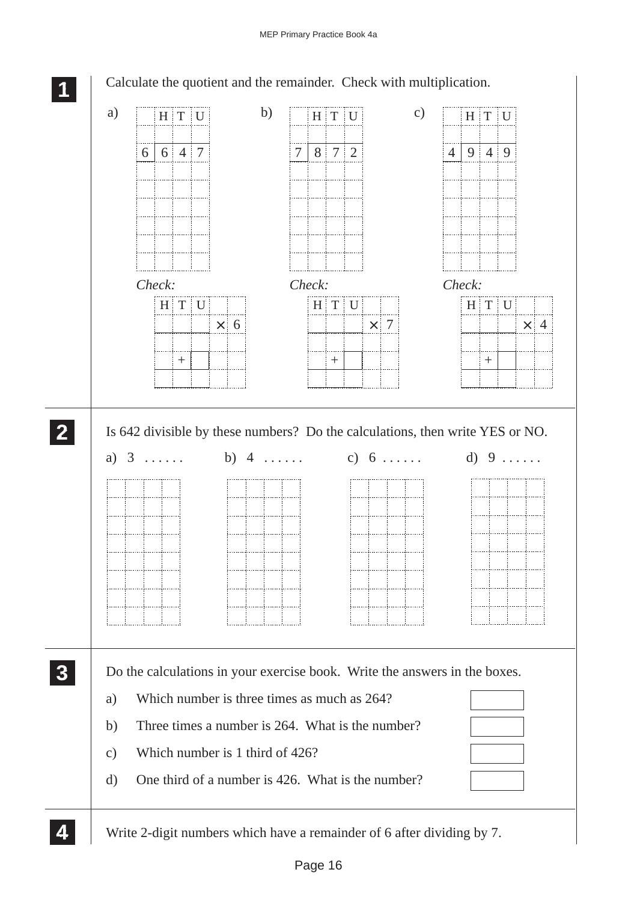![](_page_15_Figure_1.jpeg)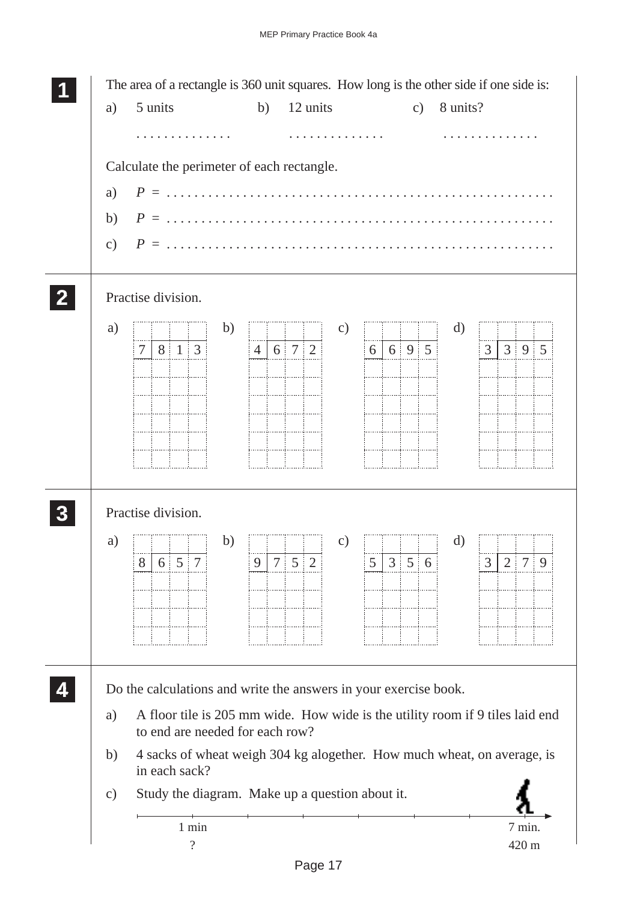![](_page_16_Figure_1.jpeg)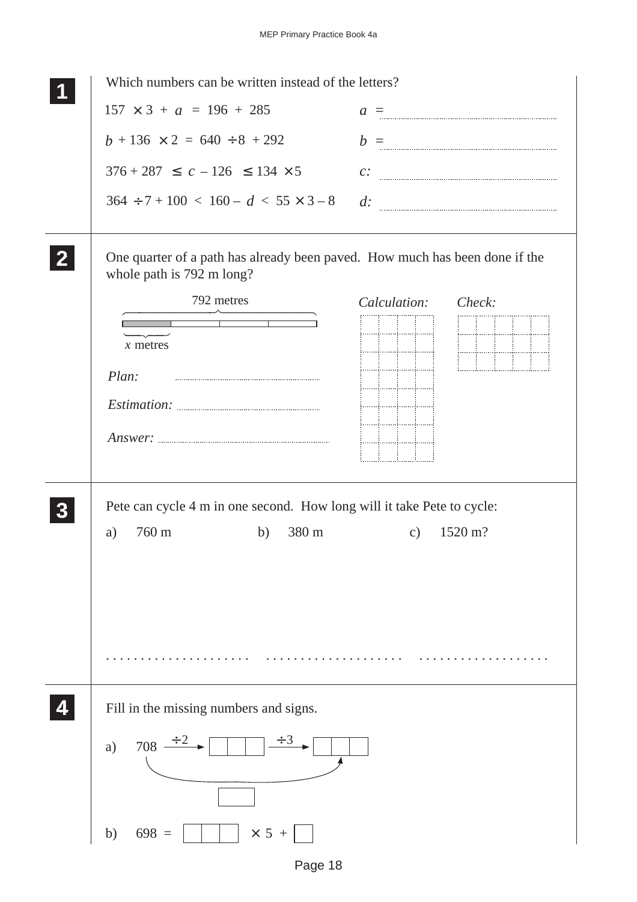| Which numbers can be written instead of the letters?                                                     |                     |
|----------------------------------------------------------------------------------------------------------|---------------------|
| $157 \times 3 + a = 196 + 285$                                                                           | $a =$               |
| $b + 136 \times 2 = 640 \div 8 + 292$                                                                    | $b =$               |
| $376 + 287 \leq c - 126 \leq 134 \times 5$                                                               | $c$ :               |
| $364 \div 7 + 100 < 160 - d < 55 \times 3 - 8$                                                           | $d$ :               |
| One quarter of a path has already been paved. How much has been done if the<br>whole path is 792 m long? |                     |
| 792 metres                                                                                               | Calculation: Check: |
| $x$ metres                                                                                               | iiii<br>المستلسبين  |
| Plan:                                                                                                    | iiii                |
|                                                                                                          |                     |
|                                                                                                          |                     |
|                                                                                                          |                     |
| Pete can cycle 4 m in one second. How long will it take Pete to cycle:<br>760 m<br>380 m<br>b)<br>a)     | 1520 m?<br>c)       |
| Fill in the missing numbers and signs.                                                                   |                     |
|                                                                                                          |                     |
| $708 \frac{\div 2}{\div 2}$<br>a)                                                                        |                     |
| $\times$ 5 +<br>$698 =$<br>b)                                                                            |                     |

Page 18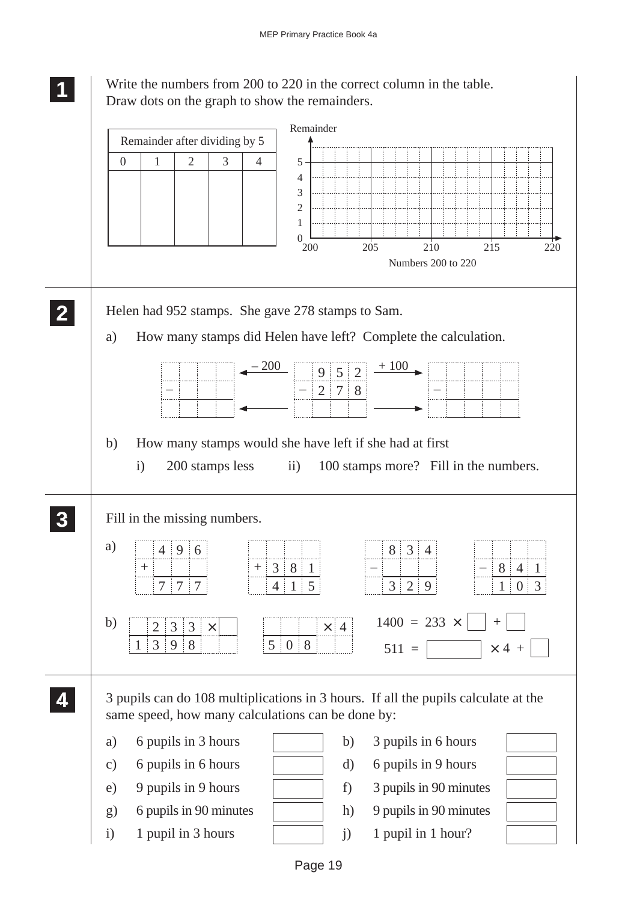Write the numbers from 200 to 220 in the correct column in the table. Draw dots on the graph to show the remainders.

**1 11 11**

![](_page_18_Figure_2.jpeg)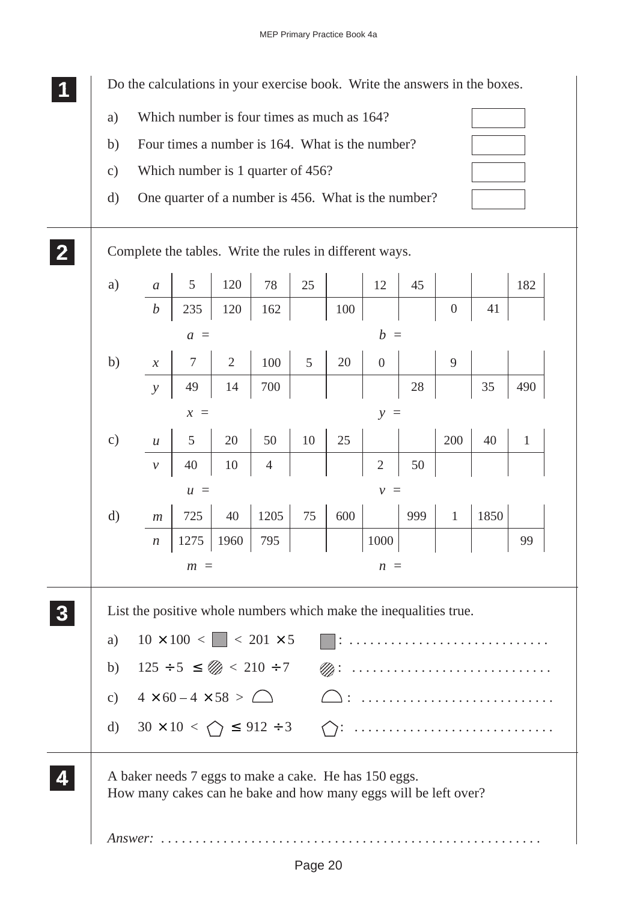Do the calculations in your exercise book. Write the answers in the boxes.

- a) Which number is four times as much as 164?
- b) Four times a number is 164. What is the number?
- c) Which number is 1 quarter of 456?

**1 11 11**

**2 22 22** d) One quarter of a number is 456. What is the number?

![](_page_19_Figure_6.jpeg)

| a)            | $\boldsymbol{a}$           | 5                                       | 120            | 78                                                                                                                  | 25             |     | 12             | 45     |                  |      | 182          |
|---------------|----------------------------|-----------------------------------------|----------------|---------------------------------------------------------------------------------------------------------------------|----------------|-----|----------------|--------|------------------|------|--------------|
|               | $\boldsymbol{b}$           | 235                                     | 120            | 162                                                                                                                 |                | 100 |                |        | $\boldsymbol{0}$ | 41   |              |
|               |                            | $a =$                                   |                |                                                                                                                     |                |     | $b =$          |        |                  |      |              |
| b)            | $\boldsymbol{\mathcal{X}}$ | $\overline{7}$                          | $\overline{2}$ | 100                                                                                                                 | $\overline{5}$ | 20  | $\overline{0}$ |        | 9                |      |              |
|               | $\mathcal{Y}$              | 49                                      | 14             | 700                                                                                                                 |                |     |                | $28\,$ |                  | 35   | 490          |
|               |                            | $x =$                                   |                |                                                                                                                     |                |     | $y =$          |        |                  |      |              |
| $\mathbf{c})$ | $\boldsymbol{u}$           | 5                                       | 20             | 50                                                                                                                  | 10             | 25  |                |        | 200              | 40   | $\mathbf{1}$ |
|               | $\mathcal V$               | 40                                      | 10             | $\overline{4}$                                                                                                      |                |     | $\overline{2}$ | 50     |                  |      |              |
|               |                            | $u =$                                   |                |                                                                                                                     |                |     | $v =$          |        |                  |      |              |
| $\mathbf{d}$  | m                          | 725                                     | 40             | 1205                                                                                                                | 75             | 600 |                | 999    | $\mathbf{1}$     | 1850 |              |
|               | $\boldsymbol{n}$           | 1275                                    | 1960           | 795                                                                                                                 |                |     | 1000           |        |                  |      | 99           |
|               |                            | $m =$                                   |                |                                                                                                                     |                |     | $n =$          |        |                  |      |              |
| a)            |                            |                                         |                | List the positive whole numbers which make the inequalities true.<br>$10 \times 100 <$ $  \cdot \cdot 201 \times 5$ |                |     |                |        |                  |      |              |
| b)            |                            |                                         |                | $125 \div 5 \leq \mathcal{D} < 210 \div 7$                                                                          |                |     |                |        |                  |      |              |
| $\mathbf{c})$ |                            | $4 \times 60 - 4 \times 58 > \triangle$ |                |                                                                                                                     |                |     |                |        |                  |      |              |
|               |                            |                                         |                |                                                                                                                     |                |     |                |        |                  |      |              |
| $\mathbf{d}$  |                            |                                         |                | $30 \times 10 \lt \bigcap$ $\leq 912 \div 3$                                                                        |                |     |                |        |                  |      |              |

A baker needs 7 eggs to make a cake. He has 150 eggs. How many cakes can he bake and how many eggs will be left over?

*Answer:* . .

**4 44 44**

**3 33 33**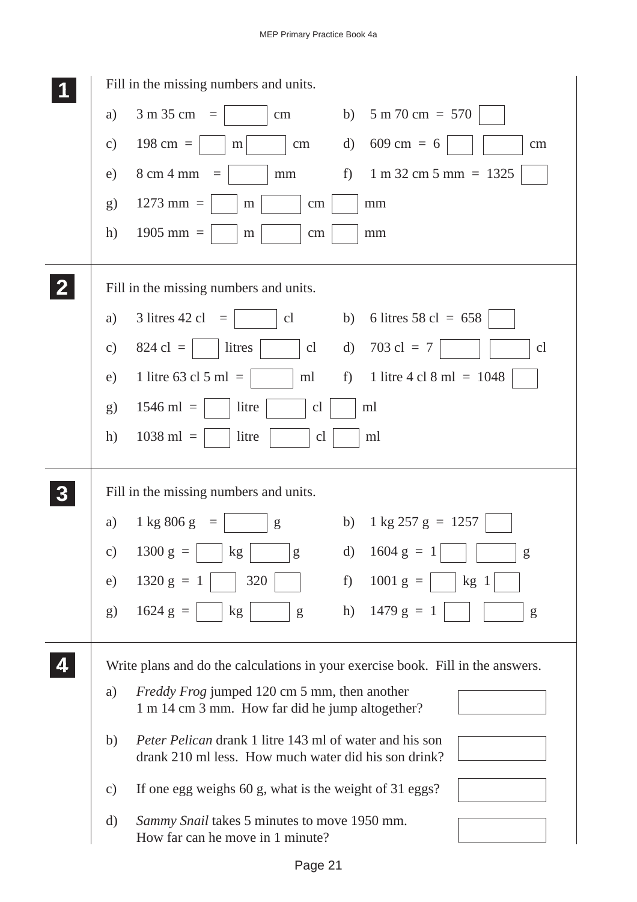|                  | Fill in the missing numbers and units.                                                                                       |
|------------------|------------------------------------------------------------------------------------------------------------------------------|
|                  | $3 m 35 cm =$<br>$5 m 70 cm = 570$<br>a)<br>b)<br>cm                                                                         |
|                  | $609 \text{ cm} = 6$<br>$198 \text{ cm} =$<br>$\rm d)$<br>$\mathbf{c})$<br>cm<br>$\rm cm$<br>m                               |
|                  | 8 cm 4 mm<br>f)<br>$1 m 32 cm 5 mm = 1325$<br>e)<br>mm<br>$=$                                                                |
|                  | $1273$ mm =<br>g)<br>cm<br>mm<br>m                                                                                           |
|                  | $1905$ mm =<br>h)<br>m<br>cm<br>mm                                                                                           |
|                  | Fill in the missing numbers and units.                                                                                       |
|                  | 3 litres 42 cl<br>6 litres 58 cl = $658$<br>cl<br>b)<br>a)<br>$\equiv$                                                       |
|                  | $703 \text{ cl} = 7$<br>$824 \text{ cl } =$<br>litres<br>cl<br>$\mathbf{d}$<br>cl<br>$\mathbf{c})$                           |
|                  | 1 litre 63 cl 5 ml $=$<br>1 litre 4 cl 8 ml = $1048$<br>ml<br>f<br>e)                                                        |
|                  | $1546$ ml =<br>litre<br>ml<br>g)<br>cl                                                                                       |
|                  | h)<br>$1038$ ml =<br>litre<br>cl<br>ml                                                                                       |
| $\boldsymbol{3}$ | Fill in the missing numbers and units.                                                                                       |
|                  | $1 \text{ kg } 257 \text{ g} = 1257$<br>1 kg 806 g<br>b)<br>a)<br>g<br>$=$                                                   |
|                  | d) $1604 \text{ g} = 1$<br>$1300 g =$<br>kg<br>$\overline{\phantom{a}}$   g<br>$\mathbf{c})$<br>g                            |
|                  | 1320 $g =$<br>$1001 g =$<br>320<br>f)<br>kg <sub>1</sub><br>e)<br>-1                                                         |
|                  | h) $1479 g = 1$<br>$1624 g =$<br>g)<br>kg<br>${\sf g}$<br>g                                                                  |
|                  | Write plans and do the calculations in your exercise book. Fill in the answers.                                              |
|                  | <i>Freddy Frog</i> jumped 120 cm 5 mm, then another<br>a)<br>1 m 14 cm 3 mm. How far did he jump altogether?                 |
|                  | <i>Peter Pelican</i> drank 1 litre 143 ml of water and his son<br>b)<br>drank 210 ml less. How much water did his son drink? |
|                  | If one egg weighs 60 g, what is the weight of 31 eggs?<br>$\mathbf{c})$                                                      |
|                  | Sammy Snail takes 5 minutes to move 1950 mm.<br>d)                                                                           |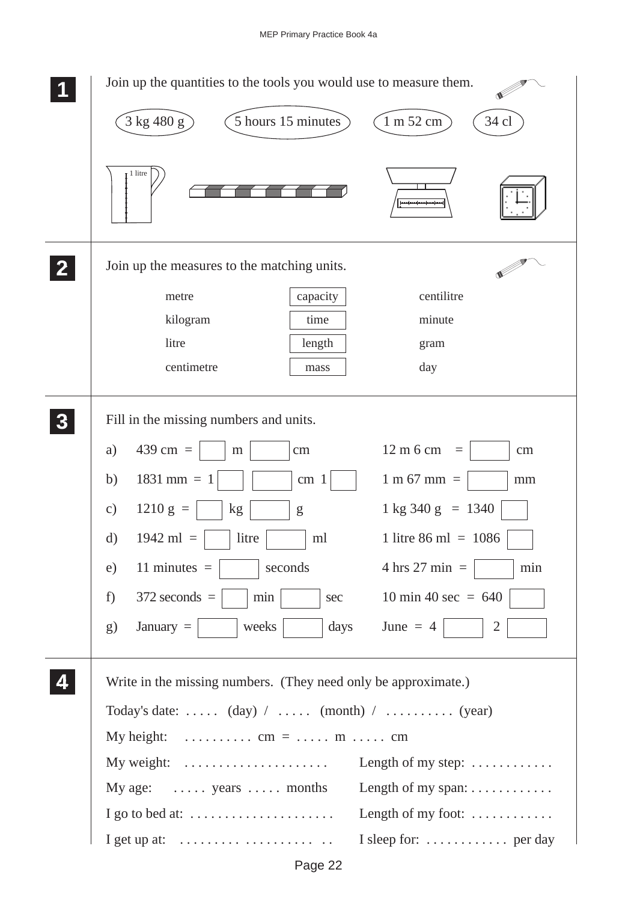| Join up the quantities to the tools you would use to measure them.                                        |
|-----------------------------------------------------------------------------------------------------------|
| $\left[3 \text{ kg } 480 \text{ g}\right]$<br>34 cl<br>5 hours 15 minutes<br>1 m 52 cm                    |
| 1 litre                                                                                                   |
| Join up the measures to the matching units.                                                               |
| centilitre<br>capacity<br>metre                                                                           |
| kilogram<br>time<br>minute                                                                                |
| litre<br>length<br>gram                                                                                   |
| centimetre<br>day<br>mass                                                                                 |
| Fill in the missing numbers and units.                                                                    |
| 439 cm $=$<br>12 m 6 cm<br>a)<br>cm<br>cm<br>m<br>$\equiv$                                                |
| $1831$ mm = 1<br>b)<br>$1 m 67 mm =$<br>cm <sub>1</sub><br>mm                                             |
| $1210 g =$<br>$1 \text{ kg } 340 \text{ g } = 1340$<br>$\mathbf{c})$<br>kg<br>g                           |
| $1942$ ml =<br>litre<br>1 litre 86 ml = $1086$<br>$\rm d)$<br>ml                                          |
| 11 minutes $=$<br>seconds<br>$4 \text{ hrs } 27 \text{ min } =$<br>min<br>e)                              |
| $372$ seconds $=$<br>10 min 40 sec = $640$<br>f)<br>min<br>sec                                            |
| January $=$<br>days<br>June $= 4$<br>$\overline{2}$<br>weeks<br>g)                                        |
| Write in the missing numbers. (They need only be approximate.)                                            |
| Today's date: $(\text{day})$ / $(\text{month})$ / $(\text{year})$                                         |
| My height:<br>$\ldots \ldots \ldots \ldots \text{ cm} = \ldots \ldots \text{ m} \ldots \ldots \text{ cm}$ |
| My weight:<br>Length of my step: $\dots \dots \dots$                                                      |
| Length of my span:<br>My age: $\dots$ years $\dots$ months                                                |
| Length of my foot: $\dots\dots\dots\dots$<br>I go to bed at: $\dots \dots \dots \dots \dots \dots \dots$  |
| I sleep for:  per day<br>I get up at: $\dots \dots \dots \dots \dots \dots \dots$                         |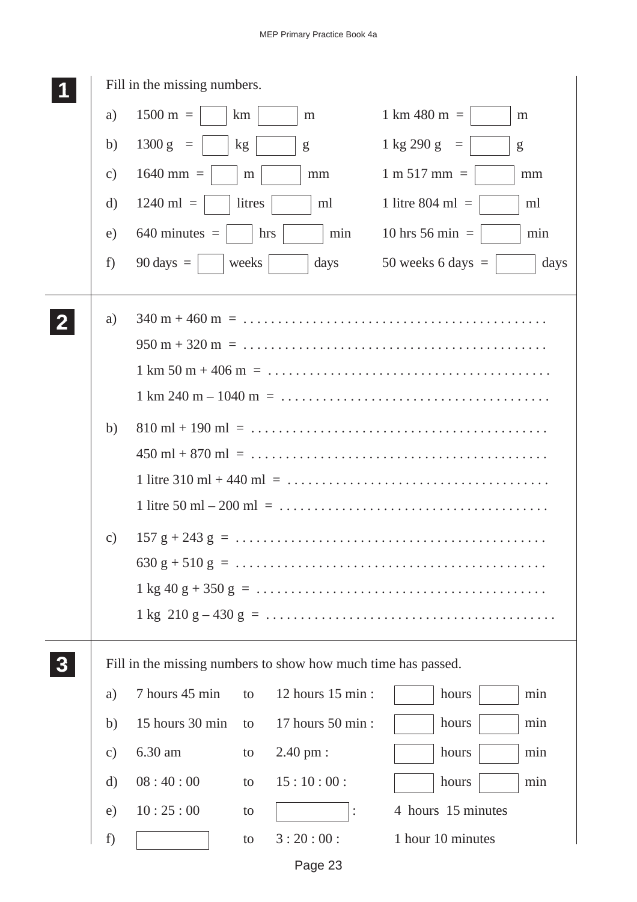| Fill in the missing numbers. |                     |        |                                                               |                                                                                                                                            |  |  |  |  |  |  |
|------------------------------|---------------------|--------|---------------------------------------------------------------|--------------------------------------------------------------------------------------------------------------------------------------------|--|--|--|--|--|--|
| a)                           | $1500 \text{ m} =$  | km     | m                                                             | $1 \text{ km } 480 \text{ m } =$<br>m                                                                                                      |  |  |  |  |  |  |
| b)                           | $1300 g =$          | kg     | g                                                             | $1 \text{ kg } 290 \text{ g} =$<br>g                                                                                                       |  |  |  |  |  |  |
| $\mathbf{c})$                | $1640$ mm =         | m      | mm                                                            | $1 m 517 mm =$<br>mm                                                                                                                       |  |  |  |  |  |  |
| $\mathbf{d}$                 | $1240$ ml =         | litres | ml                                                            | 1 litre 804 ml $=$<br>ml                                                                                                                   |  |  |  |  |  |  |
| e)                           | $640$ minutes $=$   | hrs    | min                                                           | 10 hrs 56 min $=$<br>min                                                                                                                   |  |  |  |  |  |  |
| f)                           | $90 \text{ days} =$ | weeks  | days                                                          | 50 weeks 6 days $=$<br>days                                                                                                                |  |  |  |  |  |  |
| a)                           |                     |        |                                                               |                                                                                                                                            |  |  |  |  |  |  |
|                              |                     |        |                                                               | $950 \text{ m} + 320 \text{ m} = \dots \dots \dots \dots \dots \dots \dots \dots \dots \dots \dots \dots \dots \dots \dots \dots$          |  |  |  |  |  |  |
|                              |                     |        |                                                               | $1 \text{ km } 50 \text{ m } + 406 \text{ m } = \dots \dots \dots \dots \dots \dots \dots \dots \dots \dots \dots \dots \dots \dots \dots$ |  |  |  |  |  |  |
|                              |                     |        |                                                               | $1 \text{ km } 240 \text{ m} - 1040 \text{ m } = \dots \dots \dots \dots \dots \dots \dots \dots \dots \dots \dots \dots \dots \dots$      |  |  |  |  |  |  |
| b)                           |                     |        |                                                               |                                                                                                                                            |  |  |  |  |  |  |
|                              |                     |        |                                                               |                                                                                                                                            |  |  |  |  |  |  |
|                              |                     |        |                                                               |                                                                                                                                            |  |  |  |  |  |  |
|                              |                     |        |                                                               |                                                                                                                                            |  |  |  |  |  |  |
| $\mathcal{C}$ )              |                     |        |                                                               |                                                                                                                                            |  |  |  |  |  |  |
|                              |                     |        |                                                               |                                                                                                                                            |  |  |  |  |  |  |
|                              |                     |        |                                                               |                                                                                                                                            |  |  |  |  |  |  |
|                              |                     |        |                                                               |                                                                                                                                            |  |  |  |  |  |  |
|                              |                     |        | Fill in the missing numbers to show how much time has passed. |                                                                                                                                            |  |  |  |  |  |  |
| a)                           | 7 hours 45 min      | to     | 12 hours 15 min :                                             | hours<br>min                                                                                                                               |  |  |  |  |  |  |
| b)                           | 15 hours 30 min     | to     | 17 hours 50 min :                                             | hours<br>min                                                                                                                               |  |  |  |  |  |  |
| $\mathbf{c})$                | 6.30 am             | to     | 2.40 pm :                                                     | hours<br>min                                                                                                                               |  |  |  |  |  |  |
| $\mathbf{d}$                 | 08:40:00            | to     | 15:10:00:                                                     | hours<br>min                                                                                                                               |  |  |  |  |  |  |
| e)                           | 10:25:00            | to     | $\vdots$                                                      | 4 hours 15 minutes                                                                                                                         |  |  |  |  |  |  |
| f)                           |                     | to     | 3:20:00:                                                      | 1 hour 10 minutes                                                                                                                          |  |  |  |  |  |  |

Page 23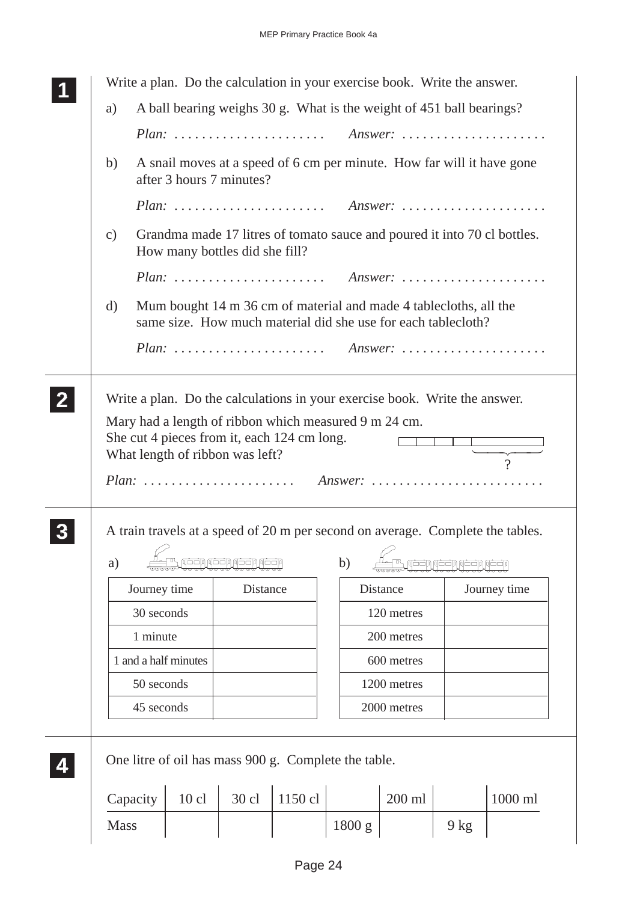|               | Write a plan. Do the calculation in your exercise book. Write the answer.<br>A ball bearing weighs 30 g. What is the weight of 451 ball bearings?<br>a) |                |                                 |                                                      |        |                                                                                |                                   |                                                                                          |  |  |
|---------------|---------------------------------------------------------------------------------------------------------------------------------------------------------|----------------|---------------------------------|------------------------------------------------------|--------|--------------------------------------------------------------------------------|-----------------------------------|------------------------------------------------------------------------------------------|--|--|
|               |                                                                                                                                                         |                |                                 |                                                      |        |                                                                                |                                   |                                                                                          |  |  |
|               |                                                                                                                                                         |                |                                 |                                                      |        | Plan:  Answer:                                                                 |                                   |                                                                                          |  |  |
| b)            | A snail moves at a speed of 6 cm per minute. How far will it have gone<br>after 3 hours 7 minutes?                                                      |                |                                 |                                                      |        |                                                                                |                                   |                                                                                          |  |  |
|               |                                                                                                                                                         |                |                                 |                                                      |        | Plan:  Answer:                                                                 |                                   |                                                                                          |  |  |
| $\mathbf{c})$ | Grandma made 17 litres of tomato sauce and poured it into 70 cl bottles.<br>How many bottles did she fill?                                              |                |                                 |                                                      |        |                                                                                |                                   |                                                                                          |  |  |
|               |                                                                                                                                                         | Plan:  Answer: |                                 |                                                      |        |                                                                                |                                   |                                                                                          |  |  |
| $\rm d)$      | Mum bought 14 m 36 cm of material and made 4 tablecloths, all the<br>same size. How much material did she use for each tablecloth?                      |                |                                 |                                                      |        |                                                                                |                                   |                                                                                          |  |  |
|               |                                                                                                                                                         |                |                                 |                                                      |        |                                                                                |                                   |                                                                                          |  |  |
|               |                                                                                                                                                         |                |                                 |                                                      |        |                                                                                |                                   |                                                                                          |  |  |
|               |                                                                                                                                                         |                | What length of ribbon was left? |                                                      |        | Plan:  Answer:                                                                 |                                   | $\frac{1}{\sqrt{1-\frac{1}{2}}}\left( \frac{1}{\sqrt{1-\frac{1}{2}}}\right)$<br>$\gamma$ |  |  |
| a)            |                                                                                                                                                         |                | بلججه لايعجه الأججيا            |                                                      | b)     | A train travels at a speed of 20 m per second on average. Complete the tables. | بإجحيها لأرجحيها لأرجحيها لأرجحيا |                                                                                          |  |  |
|               | Journey time                                                                                                                                            |                | Distance                        |                                                      |        | Distance                                                                       |                                   | Journey time                                                                             |  |  |
|               | 30 seconds                                                                                                                                              |                |                                 |                                                      |        | 120 metres                                                                     |                                   |                                                                                          |  |  |
|               | 1 minute                                                                                                                                                |                |                                 |                                                      |        | 200 metres                                                                     |                                   |                                                                                          |  |  |
|               | 1 and a half minutes                                                                                                                                    |                |                                 |                                                      |        | 600 metres                                                                     |                                   |                                                                                          |  |  |
|               | 50 seconds                                                                                                                                              |                |                                 |                                                      |        | 1200 metres                                                                    |                                   |                                                                                          |  |  |
|               | 45 seconds                                                                                                                                              |                |                                 |                                                      |        | 2000 metres                                                                    |                                   |                                                                                          |  |  |
|               |                                                                                                                                                         |                |                                 | One litre of oil has mass 900 g. Complete the table. |        |                                                                                |                                   |                                                                                          |  |  |
| <b>Mass</b>   | Capacity                                                                                                                                                | $10$ cl        | 30 cl                           | 1150 cl                                              | 1800 g | 200 ml                                                                         | $9$ kg                            | 1000 ml                                                                                  |  |  |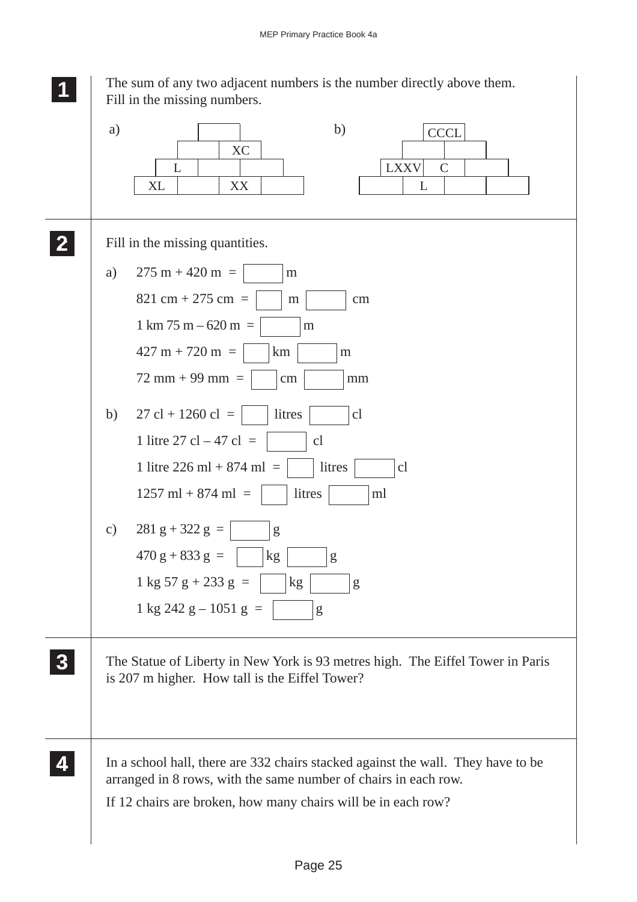![](_page_24_Figure_1.jpeg)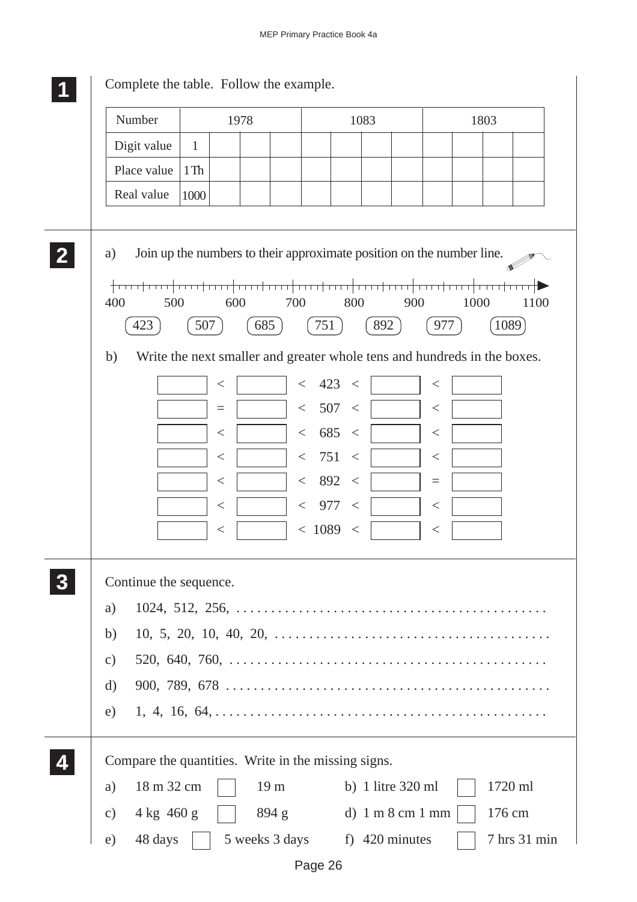| Number                          | 1978                                                        |                                                                                                                                                                                                                                                             | 1083                                                                                                                       |                                                                                  | 1803 |              |  |
|---------------------------------|-------------------------------------------------------------|-------------------------------------------------------------------------------------------------------------------------------------------------------------------------------------------------------------------------------------------------------------|----------------------------------------------------------------------------------------------------------------------------|----------------------------------------------------------------------------------|------|--------------|--|
| Digit value                     | $\mathbf{1}$                                                |                                                                                                                                                                                                                                                             |                                                                                                                            |                                                                                  |      |              |  |
| Place value                     | $1$ Th                                                      |                                                                                                                                                                                                                                                             |                                                                                                                            |                                                                                  |      |              |  |
| Real value                      | 1000                                                        |                                                                                                                                                                                                                                                             |                                                                                                                            |                                                                                  |      |              |  |
| a)<br>400<br>500<br>423<br>b)   | 600<br>507<br><<br>$=$<br><<br>$\,<\,$<br>$\,<\,$<br><<br>< | Join up the numbers to their approximate position on the number line.<br><del>र†रसरौरसरौरसरौरसर</del> ौ<br>700<br>685<br>Write the next smaller and greater whole tens and hundreds in the boxes.<br>$\lt$<br>$\lt$<br>$\lt$<br>$\lt$<br>$\,<\,$<br>$\,<\,$ | 800<br>751<br>423 <<br>507<br>$\lt$<br>685<br>$\lt$<br>751<br>$\lt$<br>892<br>$\lt$<br>977<br>$\,<\,$<br>< 1089<br>$\,<\,$ | 900<br>892<br>977<br>$<\,$<br>$\,<\,$<br>$\,<\,$<br>$<\,$<br>$=$<br><<br>$\,<\,$ | 1000 | 1100<br>1089 |  |
| Continue the sequence.<br>a)    |                                                             |                                                                                                                                                                                                                                                             |                                                                                                                            |                                                                                  |      |              |  |
| b)<br>$\mathbf{c})$<br>d)<br>e) |                                                             |                                                                                                                                                                                                                                                             |                                                                                                                            |                                                                                  |      |              |  |
|                                 |                                                             | Compare the quantities. Write in the missing signs.                                                                                                                                                                                                         |                                                                                                                            |                                                                                  |      |              |  |
| 18 m 32 cm<br>a)                |                                                             | 19 <sub>m</sub>                                                                                                                                                                                                                                             |                                                                                                                            | b) 1 litre $320$ ml                                                              |      | 1720 ml      |  |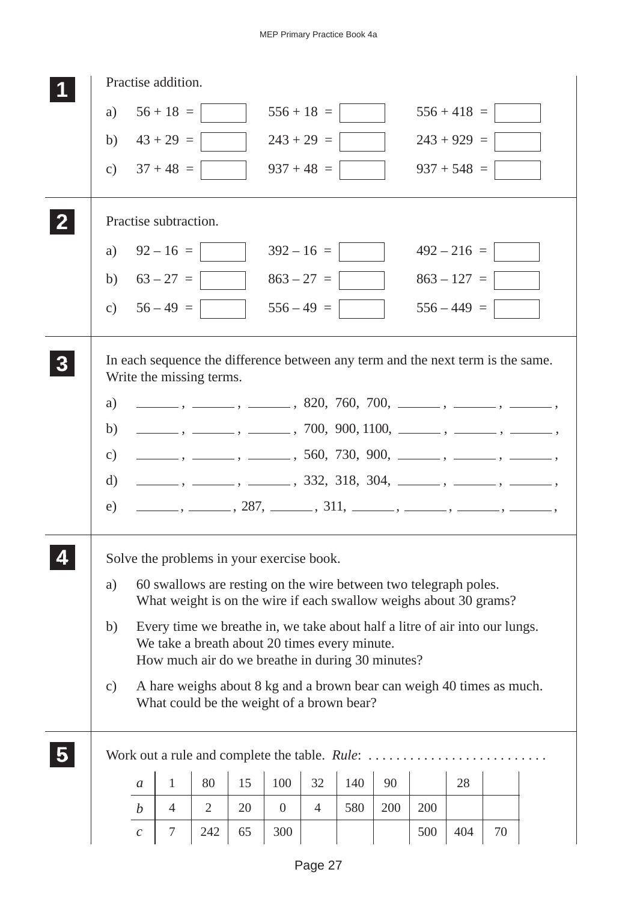| Practise addition.                                                                                                  |                                                                                                                                                                                                                                                       |                                                                                                                    |                |    |                |                |     |     |     |               |    |                                                                                                                                                                                                                                                                                                                                                                                                                             |
|---------------------------------------------------------------------------------------------------------------------|-------------------------------------------------------------------------------------------------------------------------------------------------------------------------------------------------------------------------------------------------------|--------------------------------------------------------------------------------------------------------------------|----------------|----|----------------|----------------|-----|-----|-----|---------------|----|-----------------------------------------------------------------------------------------------------------------------------------------------------------------------------------------------------------------------------------------------------------------------------------------------------------------------------------------------------------------------------------------------------------------------------|
| a)                                                                                                                  |                                                                                                                                                                                                                                                       | $56 + 18 =$                                                                                                        |                |    |                | $556 + 18 =$   |     |     |     | $556 + 418 =$ |    |                                                                                                                                                                                                                                                                                                                                                                                                                             |
| b)                                                                                                                  |                                                                                                                                                                                                                                                       | $43 + 29 =$                                                                                                        |                |    |                | $243 + 29 =$   |     |     |     | $243 + 929 =$ |    |                                                                                                                                                                                                                                                                                                                                                                                                                             |
| $\mathcal{C}$ )                                                                                                     |                                                                                                                                                                                                                                                       | $37 + 48 =$                                                                                                        |                |    |                | $937 + 48 =$   |     |     |     | $937 + 548 =$ |    |                                                                                                                                                                                                                                                                                                                                                                                                                             |
|                                                                                                                     |                                                                                                                                                                                                                                                       | Practise subtraction.                                                                                              |                |    |                |                |     |     |     |               |    |                                                                                                                                                                                                                                                                                                                                                                                                                             |
| a)                                                                                                                  |                                                                                                                                                                                                                                                       | $92 - 16 =$                                                                                                        |                |    |                | $392 - 16 =$   |     |     |     | $492 - 216 =$ |    |                                                                                                                                                                                                                                                                                                                                                                                                                             |
|                                                                                                                     |                                                                                                                                                                                                                                                       | b) $63 - 27 =$                                                                                                     |                |    |                | $863 - 27 =$   |     |     |     | $863 - 127 =$ |    |                                                                                                                                                                                                                                                                                                                                                                                                                             |
|                                                                                                                     |                                                                                                                                                                                                                                                       | c) $56-49=$                                                                                                        |                |    |                | $556 - 49 =$   |     |     |     | $556 - 449 =$ |    |                                                                                                                                                                                                                                                                                                                                                                                                                             |
| In each sequence the difference between any term and the next term is the same.<br>Write the missing terms.         |                                                                                                                                                                                                                                                       |                                                                                                                    |                |    |                |                |     |     |     |               |    |                                                                                                                                                                                                                                                                                                                                                                                                                             |
| a)                                                                                                                  |                                                                                                                                                                                                                                                       |                                                                                                                    |                |    |                |                |     |     |     |               |    | $\frac{1}{1}, \frac{1}{1}, \frac{1}{1}, \frac{1}{1}, \frac{1}{1}, \frac{1}{1}, \frac{1}{1}, \frac{1}{1}, \frac{1}{1}, \frac{1}{1}, \frac{1}{1}, \frac{1}{1}, \frac{1}{1}, \frac{1}{1}, \frac{1}{1}, \frac{1}{1}, \frac{1}{1}, \frac{1}{1}, \frac{1}{1}, \frac{1}{1}, \frac{1}{1}, \frac{1}{1}, \frac{1}{1}, \frac{1}{1}, \frac{1}{1}, \frac{1}{1}, \frac{1}{1}, \frac{1}{1}, \frac{1}{1}, \frac{1}{1}, \frac{1}{1}, \frac{$ |
| b)                                                                                                                  |                                                                                                                                                                                                                                                       |                                                                                                                    |                |    |                |                |     |     |     |               |    | $\frac{1}{1}, \frac{1}{1}, \frac{1}{1}, \frac{1}{1}, \frac{1}{1}, \frac{1}{1}, \frac{1}{1}, \frac{1}{1}, \frac{1}{1}, \frac{1}{1}, \frac{1}{1}, \frac{1}{1}, \frac{1}{1}, \frac{1}{1}, \frac{1}{1}, \frac{1}{1}, \frac{1}{1}, \frac{1}{1}, \frac{1}{1}, \frac{1}{1}, \frac{1}{1}, \frac{1}{1}, \frac{1}{1}, \frac{1}{1}, \frac{1}{1}, \frac{1}{1}, \frac{1}{1}, \frac{1}{1}, \frac{1}{1}, \frac{1}{1}, \frac{1}{1}, \frac{$ |
| $\mathcal{C}$ )                                                                                                     |                                                                                                                                                                                                                                                       |                                                                                                                    |                |    |                |                |     |     |     |               |    | $\frac{1}{1}, \frac{1}{1}, \frac{1}{1}, \frac{1}{1}, \frac{1}{1}, \frac{1}{1}, \frac{1}{1}, \frac{1}{1}, \frac{1}{1}, \frac{1}{1}, \frac{1}{1}, \frac{1}{1}, \frac{1}{1}, \frac{1}{1}, \frac{1}{1}, \frac{1}{1}, \frac{1}{1}, \frac{1}{1}, \frac{1}{1}, \frac{1}{1}, \frac{1}{1}, \frac{1}{1}, \frac{1}{1}, \frac{1}{1}, \frac{1}{1}, \frac{1}{1}, \frac{1}{1}, \frac{1}{1}, \frac{1}{1}, \frac{1}{1}, \frac{1}{1}, \frac{$ |
| d)                                                                                                                  |                                                                                                                                                                                                                                                       |                                                                                                                    |                |    |                |                |     |     |     |               |    | $\frac{1}{1}, \frac{1}{1}, \frac{1}{1}, \frac{1}{1}, \frac{1}{1}, \frac{1}{1}, \frac{1}{1}, \frac{1}{1}, \frac{1}{1}, \frac{1}{1}, \frac{1}{1}, \frac{1}{1}, \frac{1}{1}, \frac{1}{1}, \frac{1}{1}, \frac{1}{1}, \frac{1}{1}, \frac{1}{1}, \frac{1}{1}, \frac{1}{1}, \frac{1}{1}, \frac{1}{1}, \frac{1}{1}, \frac{1}{1}, \frac{1}{1}, \frac{1}{1}, \frac{1}{1}, \frac{1}{1}, \frac{1}{1}, \frac{1}{1}, \frac{1}{1}, \frac{$ |
| e)                                                                                                                  |                                                                                                                                                                                                                                                       |                                                                                                                    |                |    |                |                |     |     |     |               |    | $\frac{1}{1}, \frac{1}{1}, \frac{287}{1}, \frac{311}{1}, \frac{1}{1}, \frac{1}{1}, \frac{1}{1}, \frac{1}{1}, \frac{1}{1}, \frac{1}{1}, \frac{1}{1}, \frac{1}{1}, \frac{1}{1}, \frac{1}{1}, \frac{1}{1}, \frac{1}{1}, \frac{1}{1}, \frac{1}{1}, \frac{1}{1}, \frac{1}{1}, \frac{1}{1}, \frac{1}{1}, \frac{1}{1}, \frac{1}{1}, \frac{1}{1}, \frac{1}{1}, \frac{1}{1}, \frac{1}{1}, \frac{1}{1}, \frac{1}{1}, \frac{1}{1$      |
| Solve the problems in your exercise book.<br>60 swallows are resting on the wire between two telegraph poles.<br>a) |                                                                                                                                                                                                                                                       |                                                                                                                    |                |    |                |                |     |     |     |               |    |                                                                                                                                                                                                                                                                                                                                                                                                                             |
| b)                                                                                                                  | What weight is on the wire if each swallow weighs about 30 grams?<br>Every time we breathe in, we take about half a litre of air into our lungs.<br>We take a breath about 20 times every minute.<br>How much air do we breathe in during 30 minutes? |                                                                                                                    |                |    |                |                |     |     |     |               |    |                                                                                                                                                                                                                                                                                                                                                                                                                             |
| $\mathbf{c})$                                                                                                       |                                                                                                                                                                                                                                                       | A hare weighs about 8 kg and a brown bear can weigh 40 times as much.<br>What could be the weight of a brown bear? |                |    |                |                |     |     |     |               |    |                                                                                                                                                                                                                                                                                                                                                                                                                             |
|                                                                                                                     |                                                                                                                                                                                                                                                       |                                                                                                                    |                |    |                |                |     |     |     |               |    |                                                                                                                                                                                                                                                                                                                                                                                                                             |
|                                                                                                                     | $\boldsymbol{a}$                                                                                                                                                                                                                                      | $\mathbf{1}$                                                                                                       | 80             | 15 | 100            | 32             | 140 | 90  |     | 28            |    |                                                                                                                                                                                                                                                                                                                                                                                                                             |
|                                                                                                                     | $\boldsymbol{b}$                                                                                                                                                                                                                                      | $\overline{4}$                                                                                                     | $\overline{2}$ | 20 | $\overline{0}$ | $\overline{4}$ | 580 | 200 | 200 |               |    |                                                                                                                                                                                                                                                                                                                                                                                                                             |
|                                                                                                                     | $\boldsymbol{c}$                                                                                                                                                                                                                                      | $\tau$                                                                                                             | 242            | 65 | 300            |                |     |     | 500 | 404           | 70 |                                                                                                                                                                                                                                                                                                                                                                                                                             |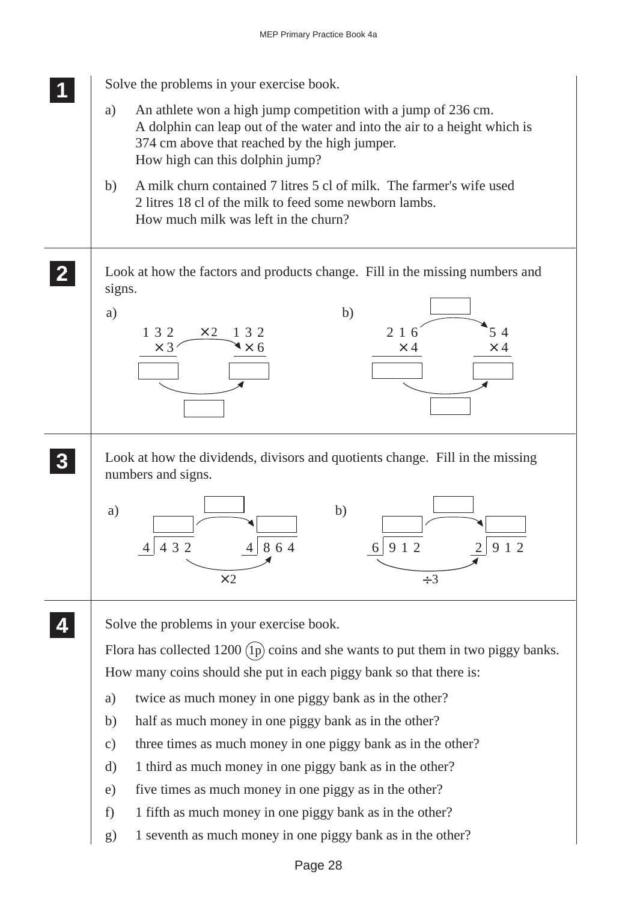![](_page_27_Figure_1.jpeg)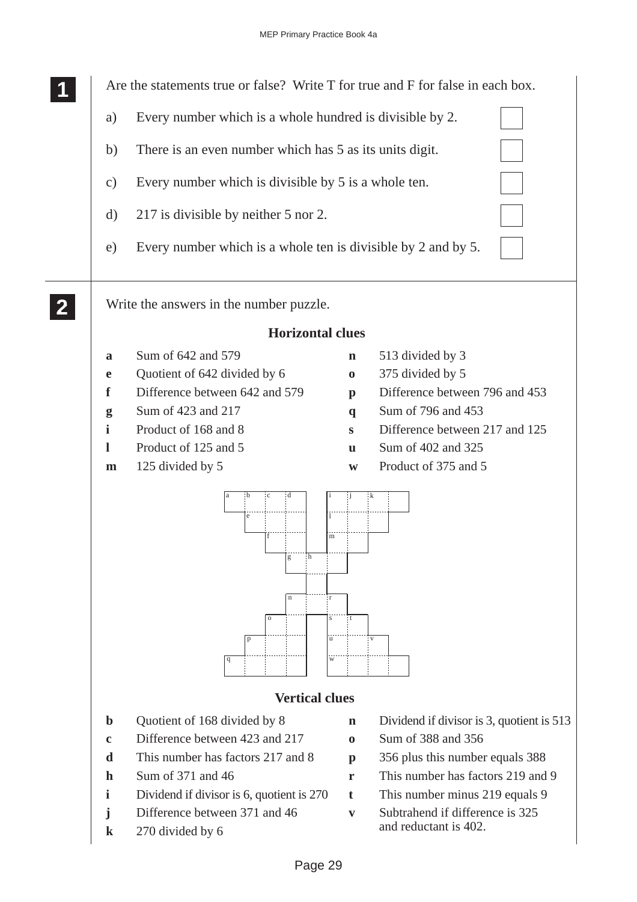![](_page_28_Figure_1.jpeg)